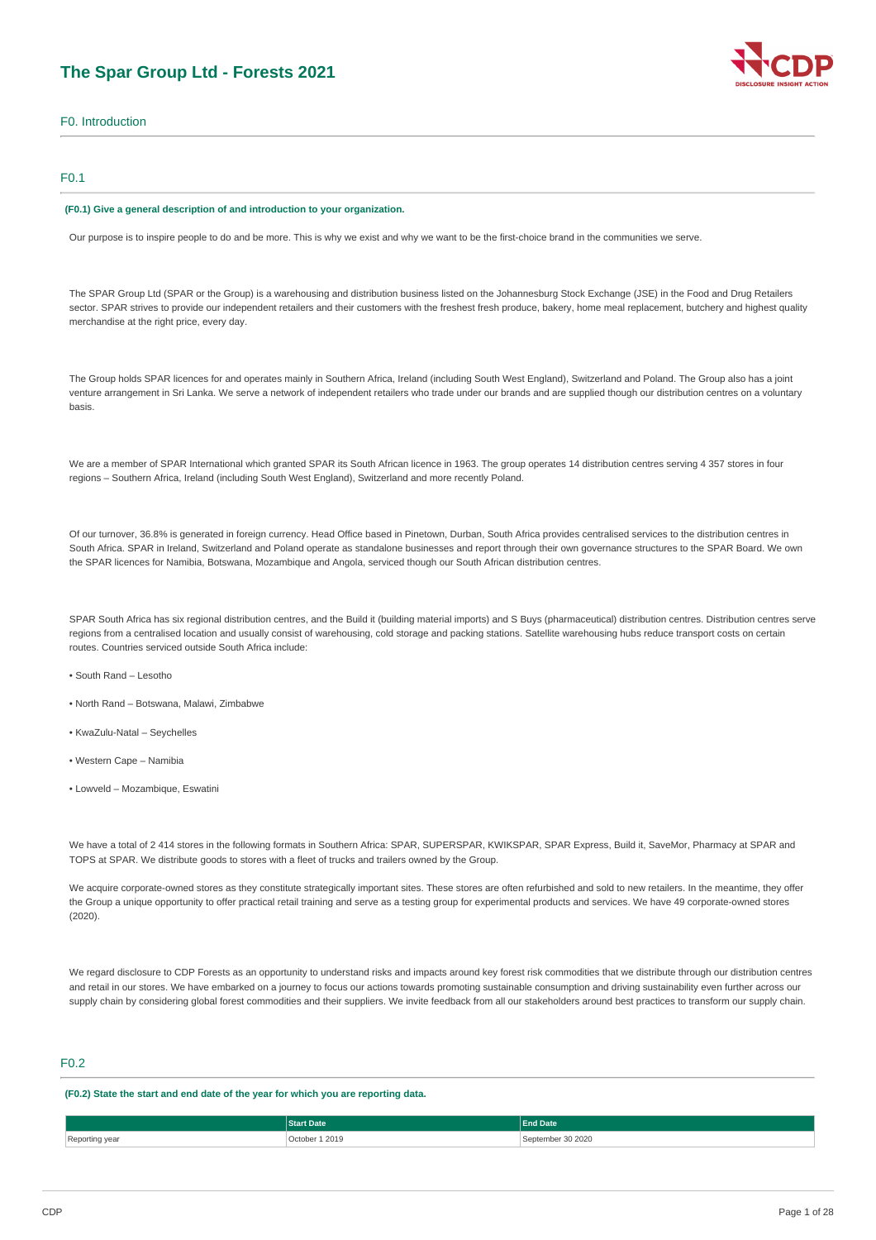# **The Spar Group Ltd - Forests 2021**

F0. Introduction

### F0.1

#### **(F0.1) Give a general description of and introduction to your organization.**

Our purpose is to inspire people to do and be more. This is why we exist and why we want to be the first-choice brand in the communities we serve.

The SPAR Group Ltd (SPAR or the Group) is a warehousing and distribution business listed on the Johannesburg Stock Exchange (JSE) in the Food and Drug Retailers sector. SPAR strives to provide our independent retailers and their customers with the freshest fresh produce, bakery, home meal replacement, butchery and highest quality merchandise at the right price, every day.

The Group holds SPAR licences for and operates mainly in Southern Africa, Ireland (including South West England), Switzerland and Poland. The Group also has a joint venture arrangement in Sri Lanka. We serve a network of independent retailers who trade under our brands and are supplied though our distribution centres on a voluntary basis.

We are a member of SPAR International which granted SPAR its South African licence in 1963. The group operates 14 distribution centres serving 4 357 stores in four regions – Southern Africa, Ireland (including South West England), Switzerland and more recently Poland.

Of our turnover, 36.8% is generated in foreign currency. Head Office based in Pinetown, Durban, South Africa provides centralised services to the distribution centres in South Africa. SPAR in Ireland, Switzerland and Poland operate as standalone businesses and report through their own governance structures to the SPAR Board. We own the SPAR licences for Namibia, Botswana, Mozambique and Angola, serviced though our South African distribution centres.

SPAR South Africa has six regional distribution centres, and the Build it (building material imports) and S Buys (pharmaceutical) distribution centres. Distribution centres serve regions from a centralised location and usually consist of warehousing, cold storage and packing stations. Satellite warehousing hubs reduce transport costs on certain routes. Countries serviced outside South Africa include:

- South Rand Lesotho
- North Rand Botswana, Malawi, Zimbabwe
- KwaZulu-Natal Seychelles
- Western Cape Namibia
- Lowveld Mozambique, Eswatini

We have a total of 2 414 stores in the following formats in Southern Africa: SPAR, SUPERSPAR, KWIKSPAR, SPAR Express, Build it, SaveMor, Pharmacy at SPAR and TOPS at SPAR. We distribute goods to stores with a fleet of trucks and trailers owned by the Group.

We acquire corporate-owned stores as they constitute strategically important sites. These stores are often refurbished and sold to new retailers. In the meantime, they offer the Group a unique opportunity to offer practical retail training and serve as a testing group for experimental products and services. We have 49 corporate-owned stores  $(2020)$ 

We regard disclosure to CDP Forests as an opportunity to understand risks and impacts around key forest risk commodities that we distribute through our distribution centres and retail in our stores. We have embarked on a journey to focus our actions towards promoting sustainable consumption and driving sustainability even further across our supply chain by considering global forest commodities and their suppliers. We invite feedback from all our stakeholders around best practices to transform our supply chain.

# F0.2

**(F0.2) State the start and end date of the year for which you are reporting data.**

|           | Date <sup>'</sup> | <b>End Date</b> |
|-----------|-------------------|-----------------|
| Renorting | 1 2019            | 30 20 20        |
|           | October 1         | `ontombor       |
| .         |                   | .               |

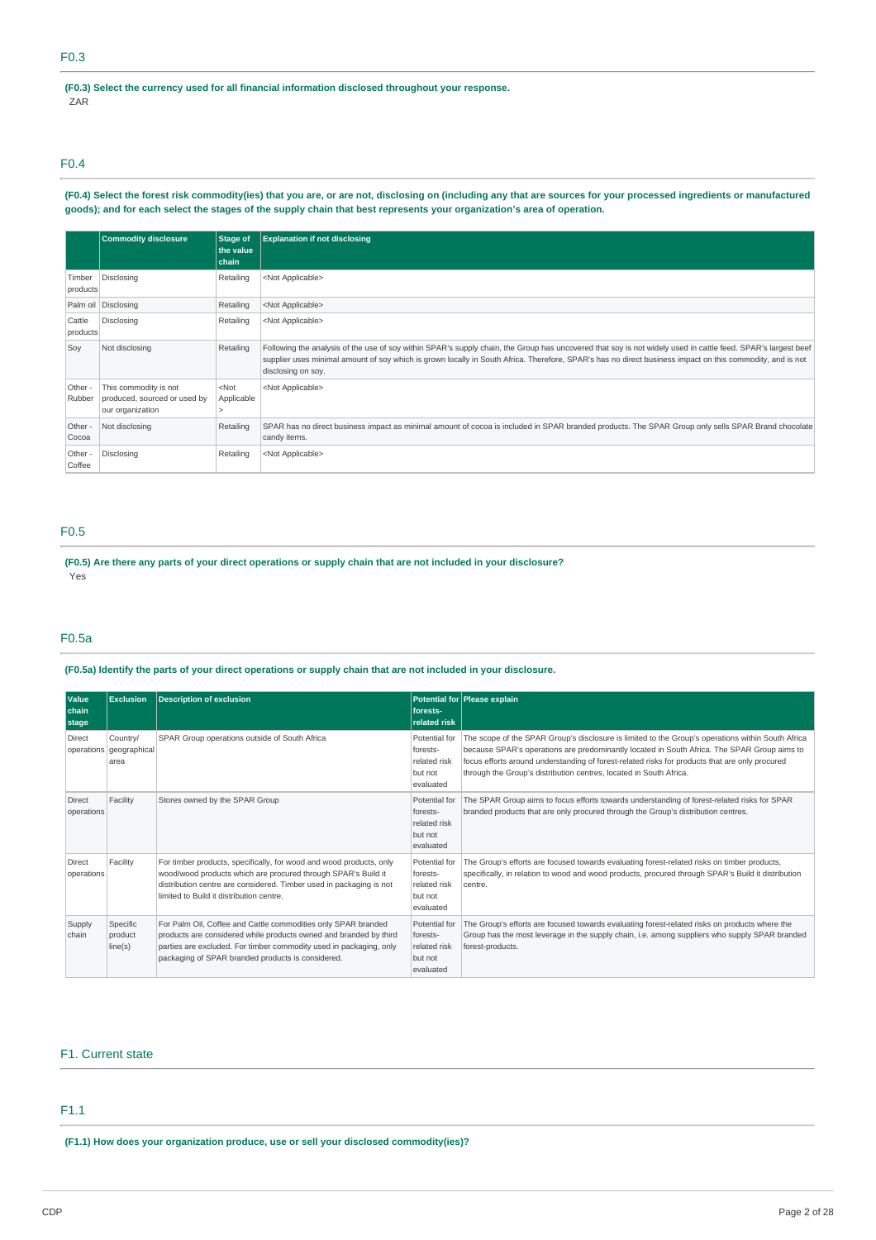**(F0.3) Select the currency used for all financial information disclosed throughout your response.** ZAR

F0.4

(F0.4) Select the forest risk commodity(ies) that you are, or are not, disclosing on (including any that are sources for your processed ingredients or manufactured goods); and for each select the stages of the supply chain that best represents your organization's area of operation.

|                    | <b>Commodity disclosure</b>                                               | Stage of<br>the value<br>chain | <b>Explanation if not disclosing</b>                                                                                                                                                                                                                                                                                                            |
|--------------------|---------------------------------------------------------------------------|--------------------------------|-------------------------------------------------------------------------------------------------------------------------------------------------------------------------------------------------------------------------------------------------------------------------------------------------------------------------------------------------|
| Timber<br>products | Disclosing                                                                | Retailing                      | <not applicable=""></not>                                                                                                                                                                                                                                                                                                                       |
|                    | Palm oil Disclosing                                                       | Retailing                      | <not applicable=""></not>                                                                                                                                                                                                                                                                                                                       |
| Cattle<br>products | Disclosing                                                                | Retailing                      | <not applicable=""></not>                                                                                                                                                                                                                                                                                                                       |
| Soy                | Not disclosing                                                            | Retailing                      | Following the analysis of the use of soy within SPAR's supply chain, the Group has uncovered that soy is not widely used in cattle feed. SPAR's largest beef<br>supplier uses minimal amount of soy which is grown locally in South Africa. Therefore, SPAR's has no direct business impact on this commodity, and is not<br>disclosing on soy. |
| Other -<br>Rubber  | This commodity is not<br>produced, sourced or used by<br>our organization | $<$ Not<br>Applicable          | <not applicable=""></not>                                                                                                                                                                                                                                                                                                                       |
| Other -<br>Cocoa   | Not disclosing                                                            | Retailing                      | SPAR has no direct business impact as minimal amount of cocoa is included in SPAR branded products. The SPAR Group only sells SPAR Brand chocolate<br>candy items.                                                                                                                                                                              |
| Other -<br>Coffee  | Disclosing                                                                | Retailing                      | <not applicable=""></not>                                                                                                                                                                                                                                                                                                                       |

# F0.5

(F0.5) Are there any parts of your direct operations or supply chain that are not included in your disclosure? Yes

# F0.5a

(F0.5a) Identify the parts of your direct operations or supply chain that are not included in your disclosure.

| Value<br>chain<br>stage     | <b>Exclusion</b>                 | <b>Description of exclusion</b>                                                                                                                                                                                                                               | forests-<br>related risk                                          | Potential for Please explain                                                                                                                                                                                                                                                                                                                                             |
|-----------------------------|----------------------------------|---------------------------------------------------------------------------------------------------------------------------------------------------------------------------------------------------------------------------------------------------------------|-------------------------------------------------------------------|--------------------------------------------------------------------------------------------------------------------------------------------------------------------------------------------------------------------------------------------------------------------------------------------------------------------------------------------------------------------------|
| Direct<br>operations        | Country/<br>geographical<br>area | SPAR Group operations outside of South Africa                                                                                                                                                                                                                 | Potential for<br>forests-<br>related risk<br>but not<br>evaluated | The scope of the SPAR Group's disclosure is limited to the Group's operations within South Africa<br>because SPAR's operations are predominantly located in South Africa. The SPAR Group aims to<br>focus efforts around understanding of forest-related risks for products that are only procured<br>through the Group's distribution centres, located in South Africa. |
| <b>Direct</b><br>operations | Facility                         | Stores owned by the SPAR Group                                                                                                                                                                                                                                | Potential for<br>forests-<br>related risk<br>but not<br>evaluated | The SPAR Group aims to focus efforts towards understanding of forest-related risks for SPAR<br>branded products that are only procured through the Group's distribution centres.                                                                                                                                                                                         |
| Direct<br>operations        | Facility                         | For timber products, specifically, for wood and wood products, only<br>wood/wood products which are procured through SPAR's Build it<br>distribution centre are considered. Timber used in packaging is not<br>limited to Build it distribution centre.       | Potential for<br>forests-<br>related risk<br>but not<br>evaluated | The Group's efforts are focused towards evaluating forest-related risks on timber products,<br>specifically, in relation to wood and wood products, procured through SPAR's Build it distribution<br>centre.                                                                                                                                                             |
| Supply<br>chain             | Specific<br>product<br>line(s)   | For Palm Oil, Coffee and Cattle commodities only SPAR branded<br>products are considered while products owned and branded by third<br>parties are excluded. For timber commodity used in packaging, only<br>packaging of SPAR branded products is considered. | Potential for<br>forests-<br>related risk<br>but not<br>evaluated | The Group's efforts are focused towards evaluating forest-related risks on products where the<br>Group has the most leverage in the supply chain, i.e. among suppliers who supply SPAR branded<br>forest-products.                                                                                                                                                       |

## F1. Current state

# F1.1

**(F1.1) How does your organization produce, use or sell your disclosed commodity(ies)?**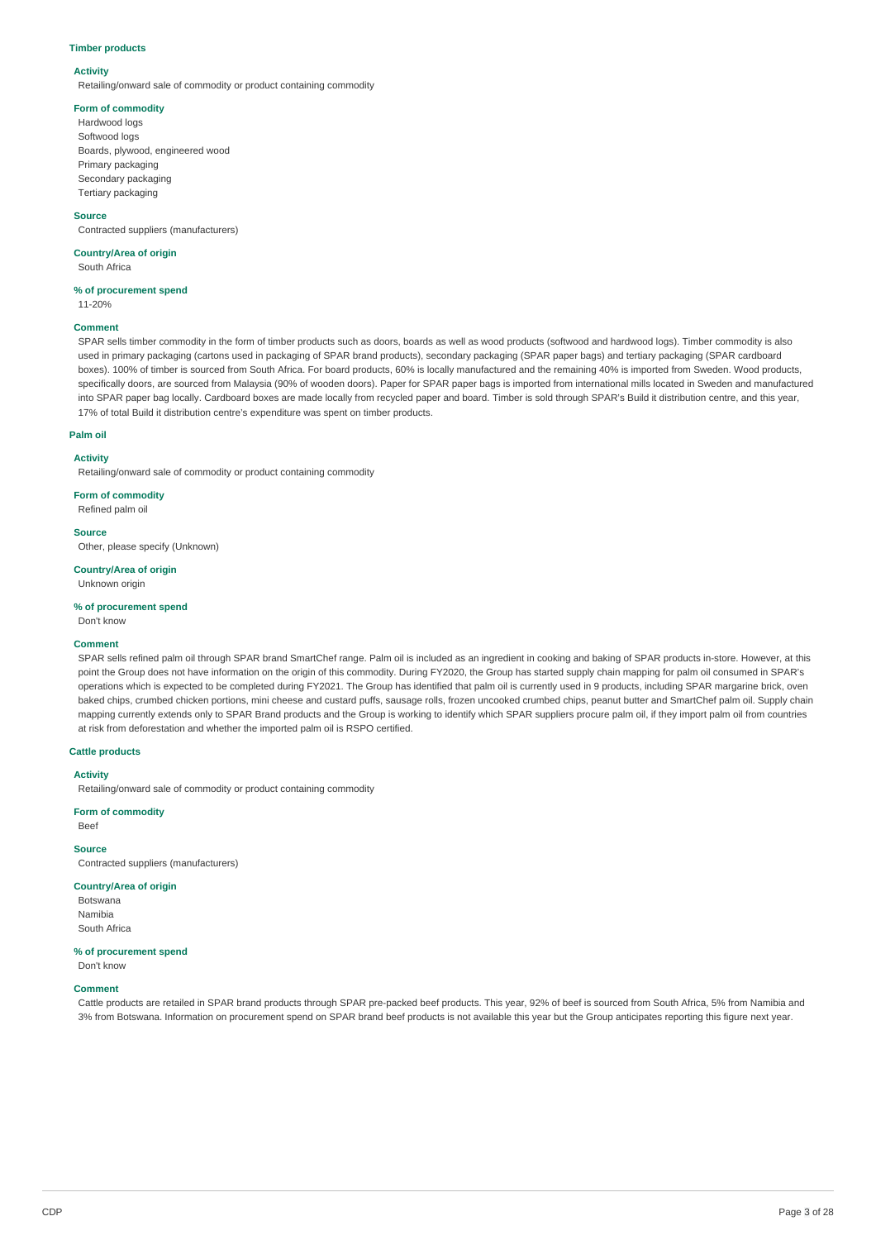### **Timber products**

### **Activity**

Retailing/onward sale of commodity or product containing commodity

### **Form of commodity**

Hardwood logs Softwood logs Boards, plywood, engineered wood Primary packaging Secondary packaging Tertiary packaging

#### **Source**

Contracted suppliers (manufacturers)

# **Country/Area of origin**

South Africa

### **% of procurement spend**

11-20%

### **Comment**

SPAR sells timber commodity in the form of timber products such as doors, boards as well as wood products (softwood and hardwood logs). Timber commodity is also used in primary packaging (cartons used in packaging of SPAR brand products), secondary packaging (SPAR paper bags) and tertiary packaging (SPAR cardboard boxes). 100% of timber is sourced from South Africa. For board products, 60% is locally manufactured and the remaining 40% is imported from Sweden. Wood products, specifically doors, are sourced from Malaysia (90% of wooden doors). Paper for SPAR paper bags is imported from international mills located in Sweden and manufactured into SPAR paper bag locally. Cardboard boxes are made locally from recycled paper and board. Timber is sold through SPAR's Build it distribution centre, and this year, 17% of total Build it distribution centre's expenditure was spent on timber products.

#### **Palm oil**

### **Activity**

Retailing/onward sale of commodity or product containing commodity

**Form of commodity**

Refined palm oil

**Source**

Other, please specify (Unknown)

**Country/Area of origin**

Unknown origin

### **% of procurement spend**

Don't know

#### **Comment**

SPAR sells refined palm oil through SPAR brand SmartChef range. Palm oil is included as an ingredient in cooking and baking of SPAR products in-store. However, at this point the Group does not have information on the origin of this commodity. During FY2020, the Group has started supply chain mapping for palm oil consumed in SPAR's operations which is expected to be completed during FY2021. The Group has identified that palm oil is currently used in 9 products, including SPAR margarine brick, oven baked chips, crumbed chicken portions, mini cheese and custard puffs, sausage rolls, frozen uncooked crumbed chips, peanut butter and SmartChef palm oil. Supply chain mapping currently extends only to SPAR Brand products and the Group is working to identify which SPAR suppliers procure palm oil, if they import palm oil from countries at risk from deforestation and whether the imported palm oil is RSPO certified.

### **Cattle products**

#### **Activity**

Retailing/onward sale of commodity or product containing commodity

### **Form of commodity**

Beef

# **Source**

Contracted suppliers (manufacturers)

### **Country/Area of origin**

Botswana Namibia South Africa

### **% of procurement spend**

Don't know

### **Comment**

Cattle products are retailed in SPAR brand products through SPAR pre-packed beef products. This year, 92% of beef is sourced from South Africa, 5% from Namibia and 3% from Botswana. Information on procurement spend on SPAR brand beef products is not available this year but the Group anticipates reporting this figure next year.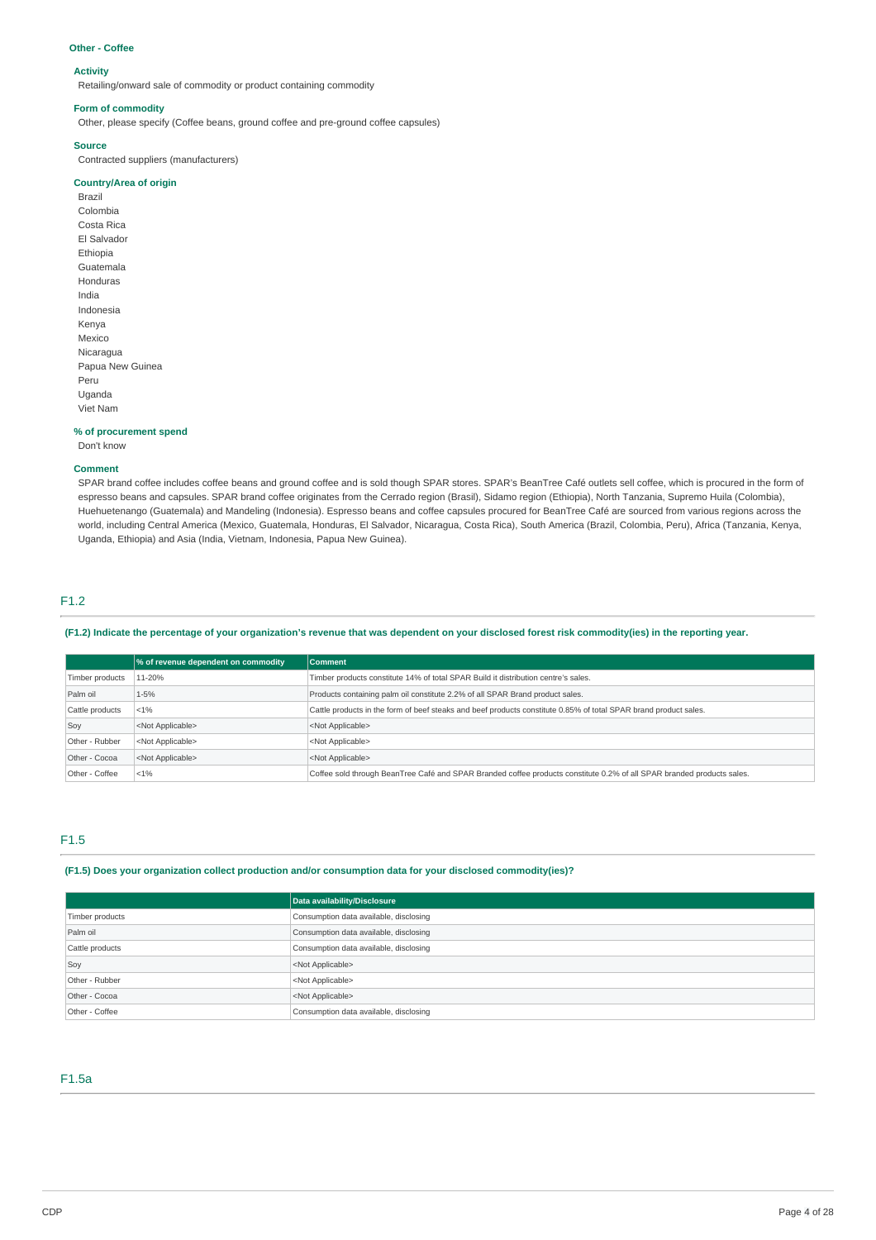#### **Other - Coffee**

### **Activity**

Retailing/onward sale of commodity or product containing commodity

#### **Form of commodity**

Other, please specify (Coffee beans, ground coffee and pre-ground coffee capsules)

### **Source**

Contracted suppliers (manufacturers)

### **Country/Area of origin**

Brazil Colombia Costa Rica El Salvador Ethiopia Guatemala Honduras India Indonesia Kenya Mexico Nicaragua Papua New Guinea Peru Uganda Viet Nam

#### **% of procurement spend**

Don't know

#### **Comment**

SPAR brand coffee includes coffee beans and ground coffee and is sold though SPAR stores. SPAR's BeanTree Café outlets sell coffee, which is procured in the form of espresso beans and capsules. SPAR brand coffee originates from the Cerrado region (Brasil), Sidamo region (Ethiopia), North Tanzania, Supremo Huila (Colombia), Huehuetenango (Guatemala) and Mandeling (Indonesia). Espresso beans and coffee capsules procured for BeanTree Café are sourced from various regions across the world, including Central America (Mexico, Guatemala, Honduras, El Salvador, Nicaragua, Costa Rica), South America (Brazil, Colombia, Peru), Africa (Tanzania, Kenya, Uganda, Ethiopia) and Asia (India, Vietnam, Indonesia, Papua New Guinea).

## F1.2

(F1.2) Indicate the percentage of your organization's revenue that was dependent on your disclosed forest risk commodity(ies) in the reporting year.

|                 | % of revenue dependent on commodity | <b>Comment</b>                                                                                                         |
|-----------------|-------------------------------------|------------------------------------------------------------------------------------------------------------------------|
| Timber products | 11-20%                              | Timber products constitute 14% of total SPAR Build it distribution centre's sales.                                     |
| Palm oil        | $1 - 5%$                            | Products containing palm oil constitute 2.2% of all SPAR Brand product sales.                                          |
| Cattle products | $< 1\%$                             | Cattle products in the form of beef steaks and beef products constitute 0.85% of total SPAR brand product sales.       |
| Soy             | <not applicable=""></not>           | <not applicable=""></not>                                                                                              |
| Other - Rubber  | <not applicable=""></not>           | <not applicable=""></not>                                                                                              |
| Other - Cocoa   | <not applicable=""></not>           | <not applicable=""></not>                                                                                              |
| Other - Coffee  | $< 1\%$                             | Coffee sold through BeanTree Café and SPAR Branded coffee products constitute 0.2% of all SPAR branded products sales. |

### F1.5

### **(F1.5) Does your organization collect production and/or consumption data for your disclosed commodity(ies)?**

|                 | Data availability/Disclosure           |
|-----------------|----------------------------------------|
| Timber products | Consumption data available, disclosing |
| Palm oil        | Consumption data available, disclosing |
| Cattle products | Consumption data available, disclosing |
| Soy             | <not applicable=""></not>              |
| Other - Rubber  | <not applicable=""></not>              |
| Other - Cocoa   | <not applicable=""></not>              |
| Other - Coffee  | Consumption data available, disclosing |

# F1.5a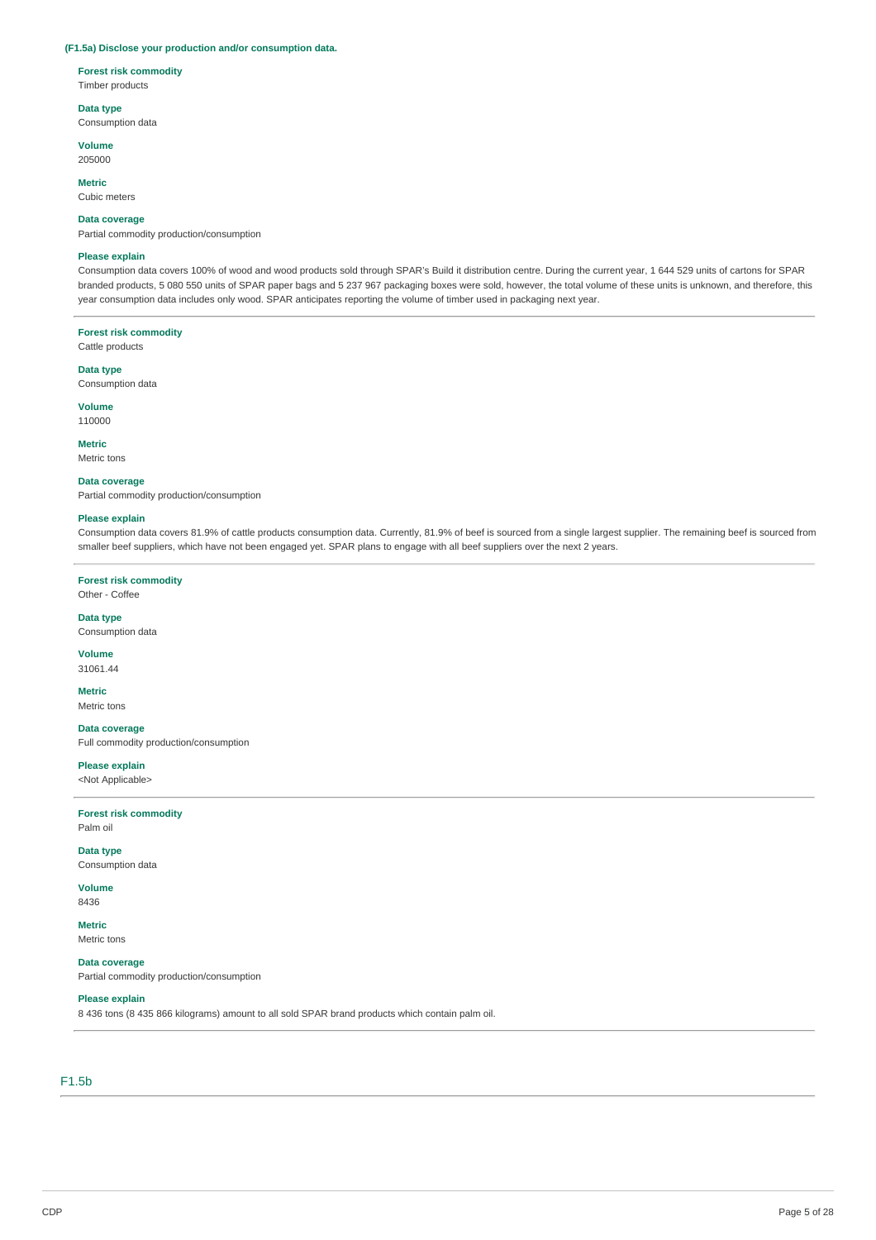### **(F1.5a) Disclose your production and/or consumption data.**

### **Forest risk commodity**

Timber products

### **Data type**

Consumption data

**Volume**

205000

### **Metric**

Cubic meters

### **Data coverage**

Partial commodity production/consumption

### **Please explain**

Consumption data covers 100% of wood and wood products sold through SPAR's Build it distribution centre. During the current year, 1 644 529 units of cartons for SPAR branded products, 5 080 550 units of SPAR paper bags and 5 237 967 packaging boxes were sold, however, the total volume of these units is unknown, and therefore, this year consumption data includes only wood. SPAR anticipates reporting the volume of timber used in packaging next year.

# **Forest risk commodity**

Cattle products

### **Data type**

Consumption data

### **Volume**

110000

# **Metric**

Metric tons

#### **Data coverage**

Partial commodity production/consumption

#### **Please explain**

Consumption data covers 81.9% of cattle products consumption data. Currently, 81.9% of beef is sourced from a single largest supplier. The remaining beef is sourced from smaller beef suppliers, which have not been engaged yet. SPAR plans to engage with all beef suppliers over the next 2 years.

### **Forest risk commodity** Other - Coffee

### **Data type** Consumption data

**Volume** 31061.44

# **Metric**

Metric tons

# **Data coverage**

Full commodity production/consumption

# **Please explain**

<Not Applicable>

#### **Forest risk commodity** Palm oil

**Data type** Consumption data

# **Volume**

8436

#### **Metric** Metric tons

# **Data coverage**

Partial commodity production/consumption

### **Please explain**

8 436 tons (8 435 866 kilograms) amount to all sold SPAR brand products which contain palm oil.

# F1.5b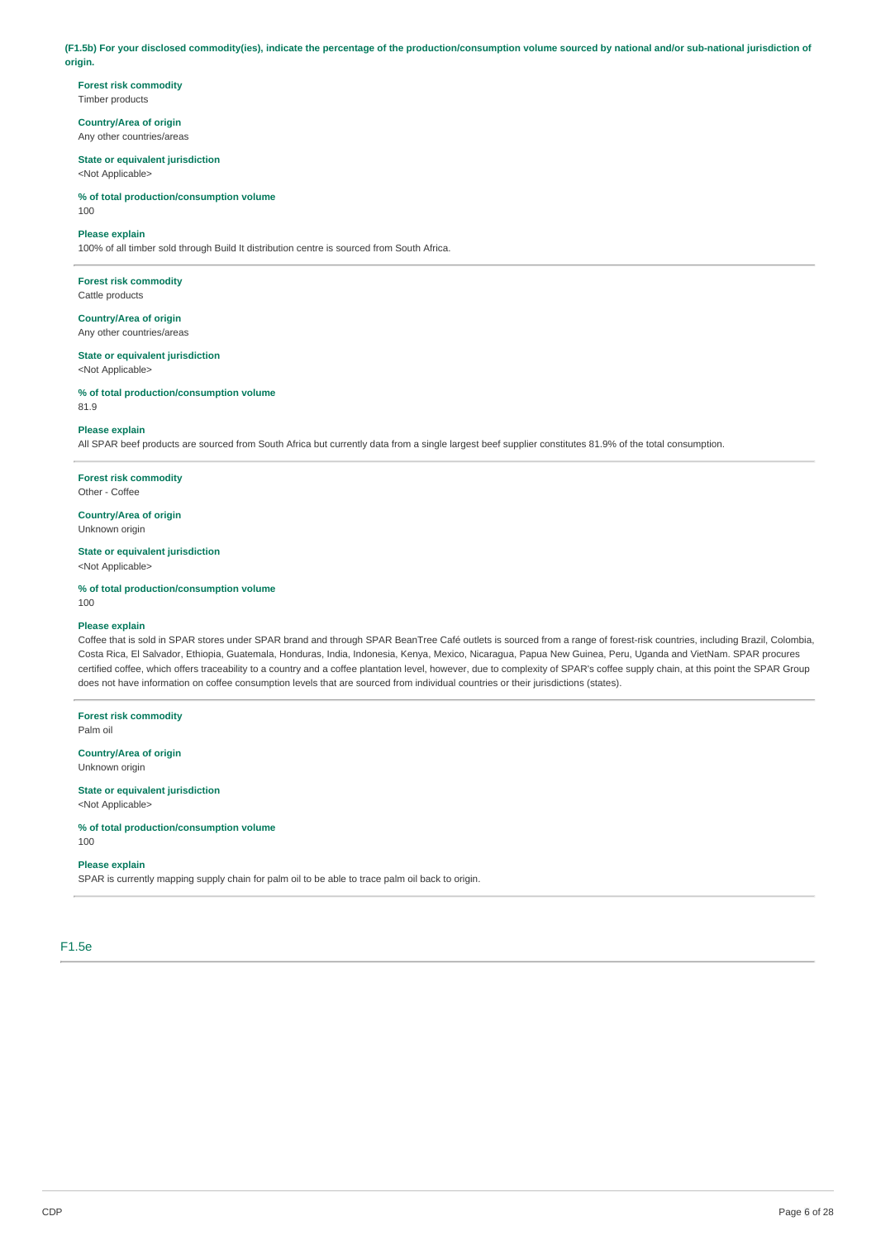(F1.5b) For your disclosed commodity(ies), indicate the percentage of the production/consumption volume sourced by national and/or sub-national jurisdiction of **origin.**

**Forest risk commodity** Timber products

**Country/Area of origin** Any other countries/areas

**State or equivalent jurisdiction** <Not Applicable>

**% of total production/consumption volume** 100

### **Please explain**

100% of all timber sold through Build It distribution centre is sourced from South Africa.

**Forest risk commodity** Cattle products

**Country/Area of origin** Any other countries/areas

**State or equivalent jurisdiction** <Not Applicable>

**% of total production/consumption volume** 81.9

### **Please explain**

All SPAR beef products are sourced from South Africa but currently data from a single largest beef supplier constitutes 81.9% of the total consumption.

**Forest risk commodity**

Other - Coffee

**Country/Area of origin** Unknown origin

**State or equivalent jurisdiction**

<Not Applicable>

**% of total production/consumption volume**

100

### **Please explain**

Coffee that is sold in SPAR stores under SPAR brand and through SPAR BeanTree Café outlets is sourced from a range of forest-risk countries, including Brazil, Colombia, Costa Rica, El Salvador, Ethiopia, Guatemala, Honduras, India, Indonesia, Kenya, Mexico, Nicaragua, Papua New Guinea, Peru, Uganda and VietNam. SPAR procures certified coffee, which offers traceability to a country and a coffee plantation level, however, due to complexity of SPAR's coffee supply chain, at this point the SPAR Group does not have information on coffee consumption levels that are sourced from individual countries or their jurisdictions (states).

**Forest risk commodity** Palm oil

**Country/Area of origin** Unknown origin

### **State or equivalent jurisdiction**

<Not Applicable>

**% of total production/consumption volume**

100

# **Please explain**

SPAR is currently mapping supply chain for palm oil to be able to trace palm oil back to origin.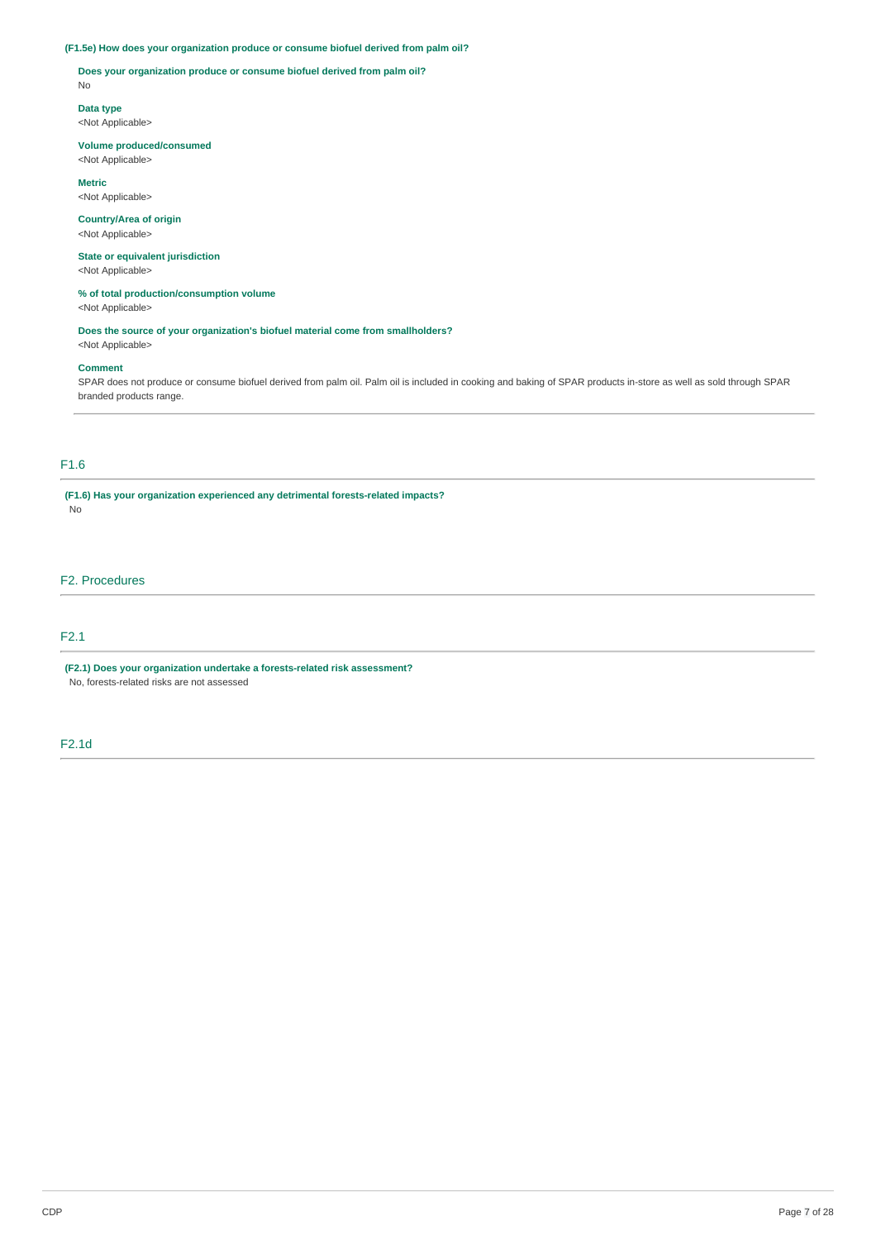### **(F1.5e) How does your organization produce or consume biofuel derived from palm oil?**

**Does your organization produce or consume biofuel derived from palm oil?** No

**Data type** <Not Applicable>

### **Volume produced/consumed**

<Not Applicable>

**Metric** <Not Applicable>

### **Country/Area of origin**

<Not Applicable>

## **State or equivalent jurisdiction** <Not Applicable>

### **% of total production/consumption volume** <Not Applicable>

**Does the source of your organization's biofuel material come from smallholders?** <Not Applicable>

### **Comment**

SPAR does not produce or consume biofuel derived from palm oil. Palm oil is included in cooking and baking of SPAR products in-store as well as sold through SPAR branded products range.

# F1.6

**(F1.6) Has your organization experienced any detrimental forests-related impacts?** No

# F2. Procedures

# F2.1

**(F2.1) Does your organization undertake a forests-related risk assessment?** No, forests-related risks are not assessed

### F2.1d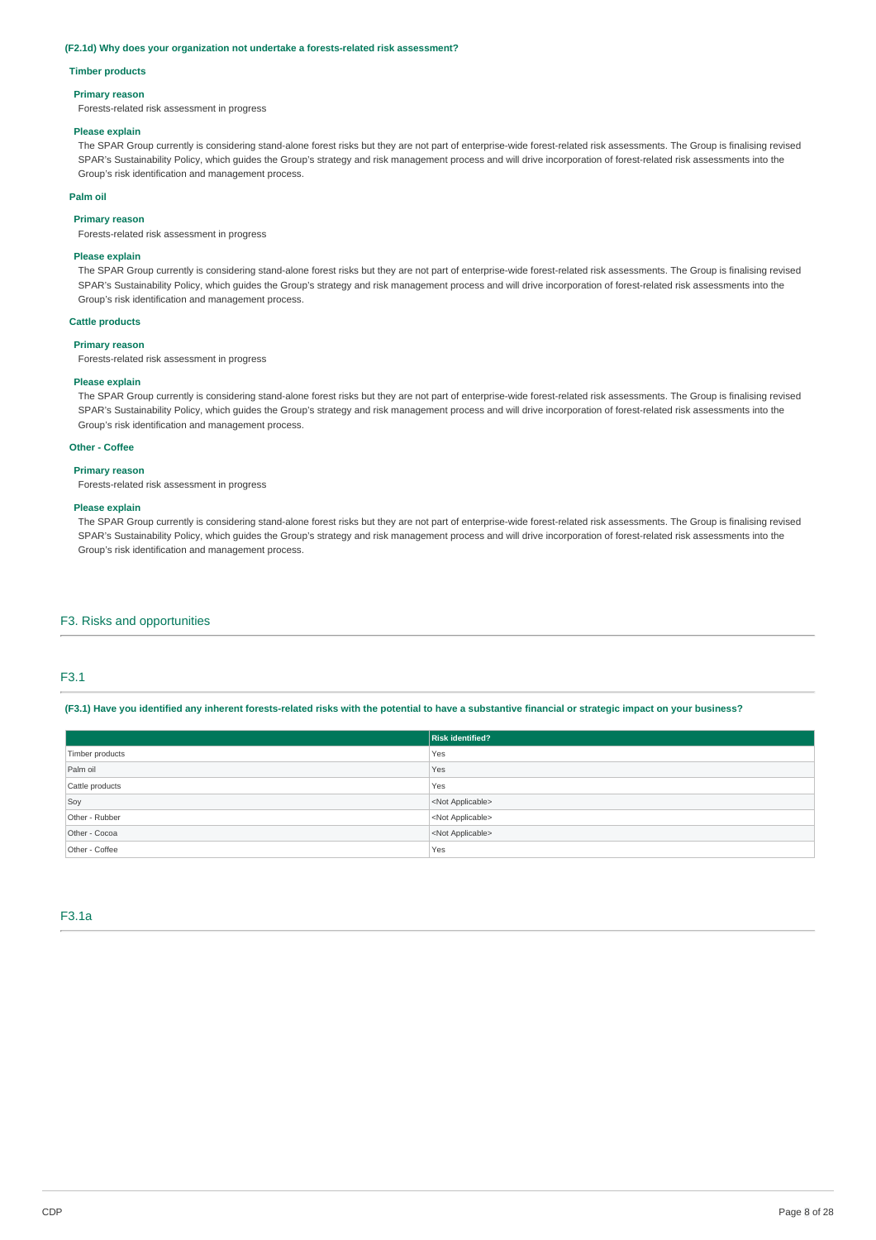#### **(F2.1d) Why does your organization not undertake a forests-related risk assessment?**

#### **Timber products**

### **Primary reason**

Forests-related risk assessment in progress

#### **Please explain**

The SPAR Group currently is considering stand-alone forest risks but they are not part of enterprise-wide forest-related risk assessments. The Group is finalising revised SPAR's Sustainability Policy, which guides the Group's strategy and risk management process and will drive incorporation of forest-related risk assessments into the Group's risk identification and management process.

#### **Palm oil**

### **Primary reason**

Forests-related risk assessment in progress

#### **Please explain**

The SPAR Group currently is considering stand-alone forest risks but they are not part of enterprise-wide forest-related risk assessments. The Group is finalising revised SPAR's Sustainability Policy, which guides the Group's strategy and risk management process and will drive incorporation of forest-related risk assessments into the Group's risk identification and management process.

### **Cattle products**

#### **Primary reason**

Forests-related risk assessment in progress

#### **Please explain**

The SPAR Group currently is considering stand-alone forest risks but they are not part of enterprise-wide forest-related risk assessments. The Group is finalising revised SPAR's Sustainability Policy, which guides the Group's strategy and risk management process and will drive incorporation of forest-related risk assessments into the Group's risk identification and management process.

#### **Other - Coffee**

#### **Primary reason**

Forests-related risk assessment in progress

### **Please explain**

The SPAR Group currently is considering stand-alone forest risks but they are not part of enterprise-wide forest-related risk assessments. The Group is finalising revised SPAR's Sustainability Policy, which guides the Group's strategy and risk management process and will drive incorporation of forest-related risk assessments into the Group's risk identification and management process.

### F3. Risks and opportunities

# F3.1

(F3.1) Have you identified any inherent forests-related risks with the potential to have a substantive financial or strategic impact on your business?

|                 | <b>Risk identified?</b>   |
|-----------------|---------------------------|
| Timber products | Yes                       |
| Palm oil        | Yes                       |
| Cattle products | Yes                       |
| Soy             | <not applicable=""></not> |
| Other - Rubber  | <not applicable=""></not> |
| Other - Cocoa   | <not applicable=""></not> |
| Other - Coffee  | Yes                       |

### F3.1a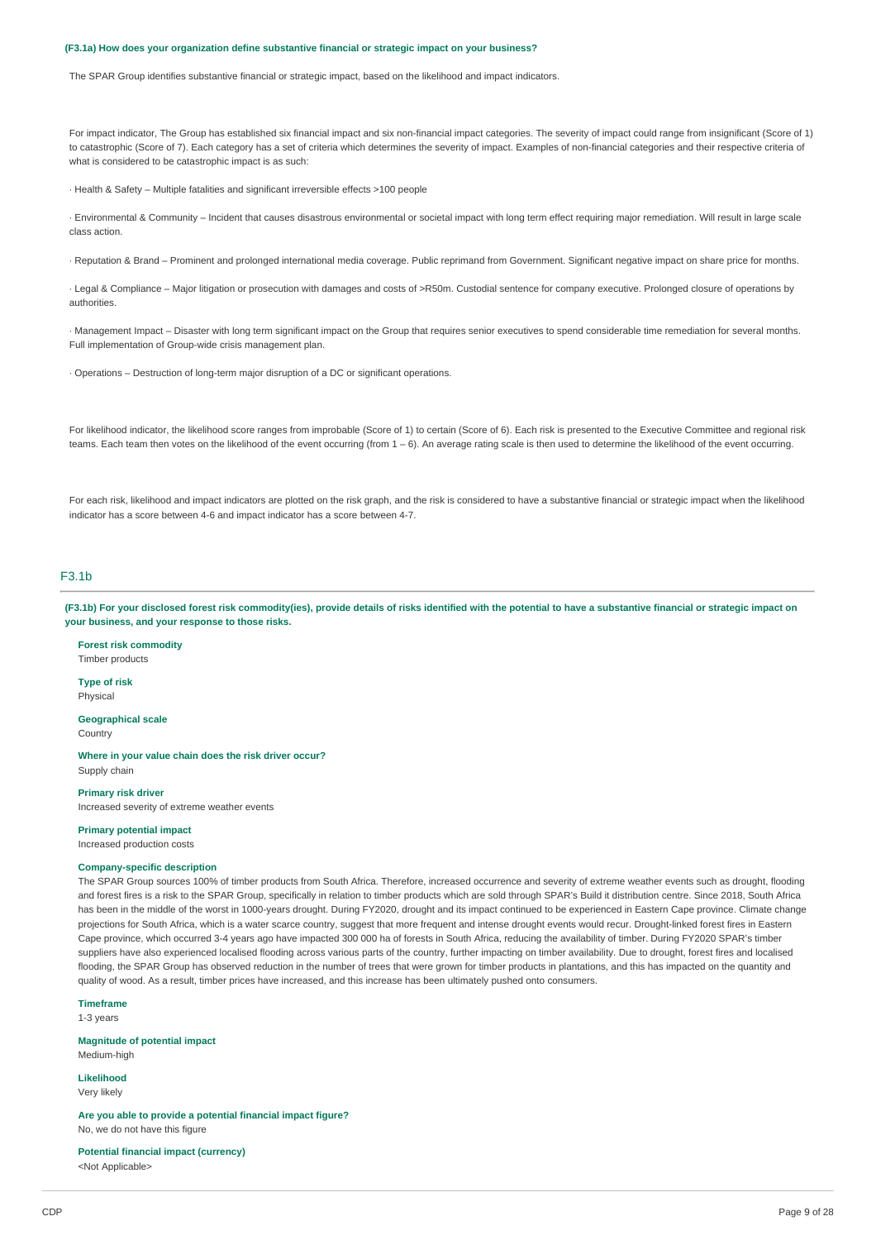#### **(F3.1a) How does your organization define substantive financial or strategic impact on your business?**

The SPAR Group identifies substantive financial or strategic impact, based on the likelihood and impact indicators.

For impact indicator. The Group has established six financial impact and six non-financial impact categories. The severity of impact could range from insignificant (Score of 1) to catastrophic (Score of 7). Each category has a set of criteria which determines the severity of impact. Examples of non-financial categories and their respective criteria of what is considered to be catastrophic impact is as such:

· Health & Safety – Multiple fatalities and significant irreversible effects >100 people

· Environmental & Community – Incident that causes disastrous environmental or societal impact with long term effect requiring major remediation. Will result in large scale class action.

· Reputation & Brand – Prominent and prolonged international media coverage. Public reprimand from Government. Significant negative impact on share price for months.

· Legal & Compliance – Major litigation or prosecution with damages and costs of >R50m. Custodial sentence for company executive. Prolonged closure of operations by authorities.

· Management Impact – Disaster with long term significant impact on the Group that requires senior executives to spend considerable time remediation for several months. Full implementation of Group-wide crisis management plan.

· Operations – Destruction of long-term major disruption of a DC or significant operations.

For likelihood indicator, the likelihood score ranges from improbable (Score of 1) to certain (Score of 6). Each risk is presented to the Executive Committee and regional risk teams. Each team then votes on the likelihood of the event occurring (from 1 – 6). An average rating scale is then used to determine the likelihood of the event occurring.

For each risk, likelihood and impact indicators are plotted on the risk graph, and the risk is considered to have a substantive financial or strategic impact when the likelihood indicator has a score between 4-6 and impact indicator has a score between 4-7.

# $E3.1h$

(F3.1b) For your disclosed forest risk commodity(ies), provide details of risks identified with the potential to have a substantive financial or strategic impact on **your business, and your response to those risks.**

**Forest risk commodity** Timber products

**Type of risk**

Physical

**Geographical scale** Country

**Where in your value chain does the risk driver occur?** Supply chain

**Primary risk driver**

Increased severity of extreme weather events

**Primary potential impact**

Increased production costs

### **Company-specific description**

The SPAR Group sources 100% of timber products from South Africa. Therefore, increased occurrence and severity of extreme weather events such as drought, flooding and forest fires is a risk to the SPAR Group, specifically in relation to timber products which are sold through SPAR's Build it distribution centre. Since 2018, South Africa has been in the middle of the worst in 1000-years drought. During FY2020, drought and its impact continued to be experienced in Eastern Cape province. Climate change projections for South Africa, which is a water scarce country, suggest that more frequent and intense drought events would recur. Drought-linked forest fires in Eastern Cape province, which occurred 3-4 years ago have impacted 300 000 ha of forests in South Africa, reducing the availability of timber. During FY2020 SPAR's timber suppliers have also experienced localised flooding across various parts of the country, further impacting on timber availability. Due to drought, forest fires and localised flooding, the SPAR Group has observed reduction in the number of trees that were grown for timber products in plantations, and this has impacted on the quantity and quality of wood. As a result, timber prices have increased, and this increase has been ultimately pushed onto consumers.

**Timeframe**

1-3 years

**Magnitude of potential impact** Medium-high

**Likelihood**

Very likely

**Are you able to provide a potential financial impact figure?** No, we do not have this figure

**Potential financial impact (currency)** <Not Applicable>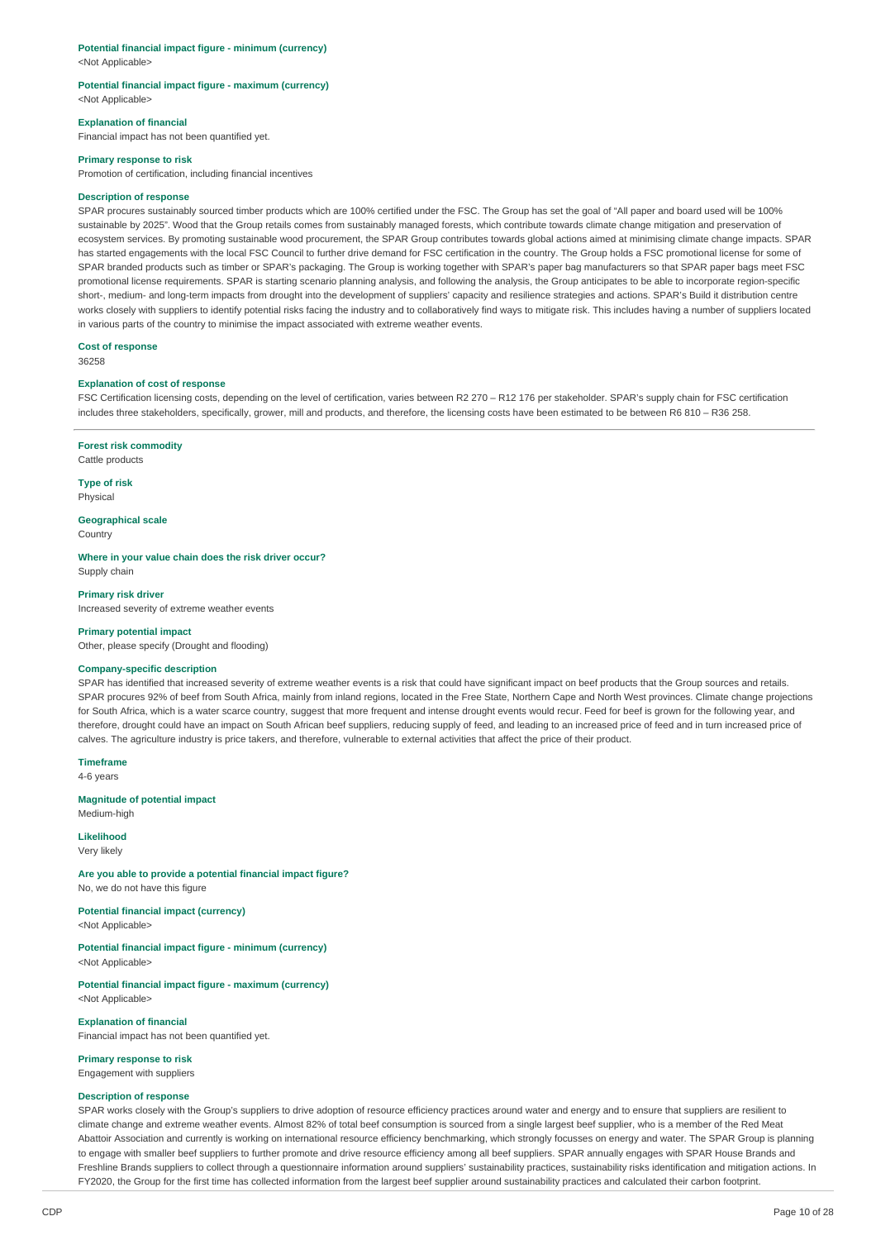# **Potential financial impact figure - minimum (currency)**

<Not Applicable>

#### **Potential financial impact figure - maximum (currency)** <Not Applicable>

### **Explanation of financial**

Financial impact has not been quantified yet.

#### **Primary response to risk**

Promotion of certification, including financial incentives

### **Description of response**

SPAR procures sustainably sourced timber products which are 100% certified under the FSC. The Group has set the goal of "All paper and board used will be 100% sustainable by 2025". Wood that the Group retails comes from sustainably managed forests, which contribute towards climate change mitigation and preservation of ecosystem services. By promoting sustainable wood procurement, the SPAR Group contributes towards global actions aimed at minimising climate change impacts. SPAR has started engagements with the local FSC Council to further drive demand for FSC certification in the country. The Group holds a FSC promotional license for some of SPAR branded products such as timber or SPAR's packaging. The Group is working together with SPAR's paper bag manufacturers so that SPAR paper bags meet FSC promotional license requirements. SPAR is starting scenario planning analysis, and following the analysis, the Group anticipates to be able to incorporate region-specific short-, medium- and long-term impacts from drought into the development of suppliers' capacity and resilience strategies and actions. SPAR's Build it distribution centre works closely with suppliers to identify potential risks facing the industry and to collaboratively find ways to mitigate risk. This includes having a number of suppliers located in various parts of the country to minimise the impact associated with extreme weather events.

**Cost of response**

36258

#### **Explanation of cost of response**

FSC Certification licensing costs, depending on the level of certification, varies between R2 270 – R12 176 per stakeholder. SPAR's supply chain for FSC certification includes three stakeholders, specifically, grower, mill and products, and therefore, the licensing costs have been estimated to be between R6 810 - R36 258.

**Forest risk commodity**

Cattle products

**Type of risk** Physical

**Geographical scale Country** 

**Where in your value chain does the risk driver occur?** Supply chain

**Primary risk driver** Increased severity of extreme weather events

#### **Primary potential impact**

Other, please specify (Drought and flooding)

### **Company-specific description**

SPAR has identified that increased severity of extreme weather events is a risk that could have significant impact on beef products that the Group sources and retails. SPAR procures 92% of beef from South Africa, mainly from inland regions, located in the Free State, Northern Cape and North West provinces. Climate change projections for South Africa, which is a water scarce country, suggest that more frequent and intense drought events would recur. Feed for beef is grown for the following year, and therefore, drought could have an impact on South African beef suppliers, reducing supply of feed, and leading to an increased price of feed and in turn increased price of calves. The agriculture industry is price takers, and therefore, vulnerable to external activities that affect the price of their product.

**Timeframe**

4-6 years

**Magnitude of potential impact** Medium-high

# **Likelihood**

Very likely

**Are you able to provide a potential financial impact figure?** No, we do not have this figure

# **Potential financial impact (currency)**

<Not Applicable>

**Potential financial impact figure - minimum (currency)** <Not Applicable>

**Potential financial impact figure - maximum (currency)** <Not Applicable>

**Explanation of financial** Financial impact has not been quantified yet.

# **Primary response to risk**

Engagement with suppliers

# **Description of response**

SPAR works closely with the Group's suppliers to drive adoption of resource efficiency practices around water and energy and to ensure that suppliers are resilient to climate change and extreme weather events. Almost 82% of total beef consumption is sourced from a single largest beef supplier, who is a member of the Red Meat Abattoir Association and currently is working on international resource efficiency benchmarking, which strongly focusses on energy and water. The SPAR Group is planning to engage with smaller beef suppliers to further promote and drive resource efficiency among all beef suppliers. SPAR annually engages with SPAR House Brands and Freshline Brands suppliers to collect through a questionnaire information around suppliers' sustainability practices, sustainability risks identification and mitigation actions. In FY2020, the Group for the first time has collected information from the largest beef supplier around sustainability practices and calculated their carbon footprint.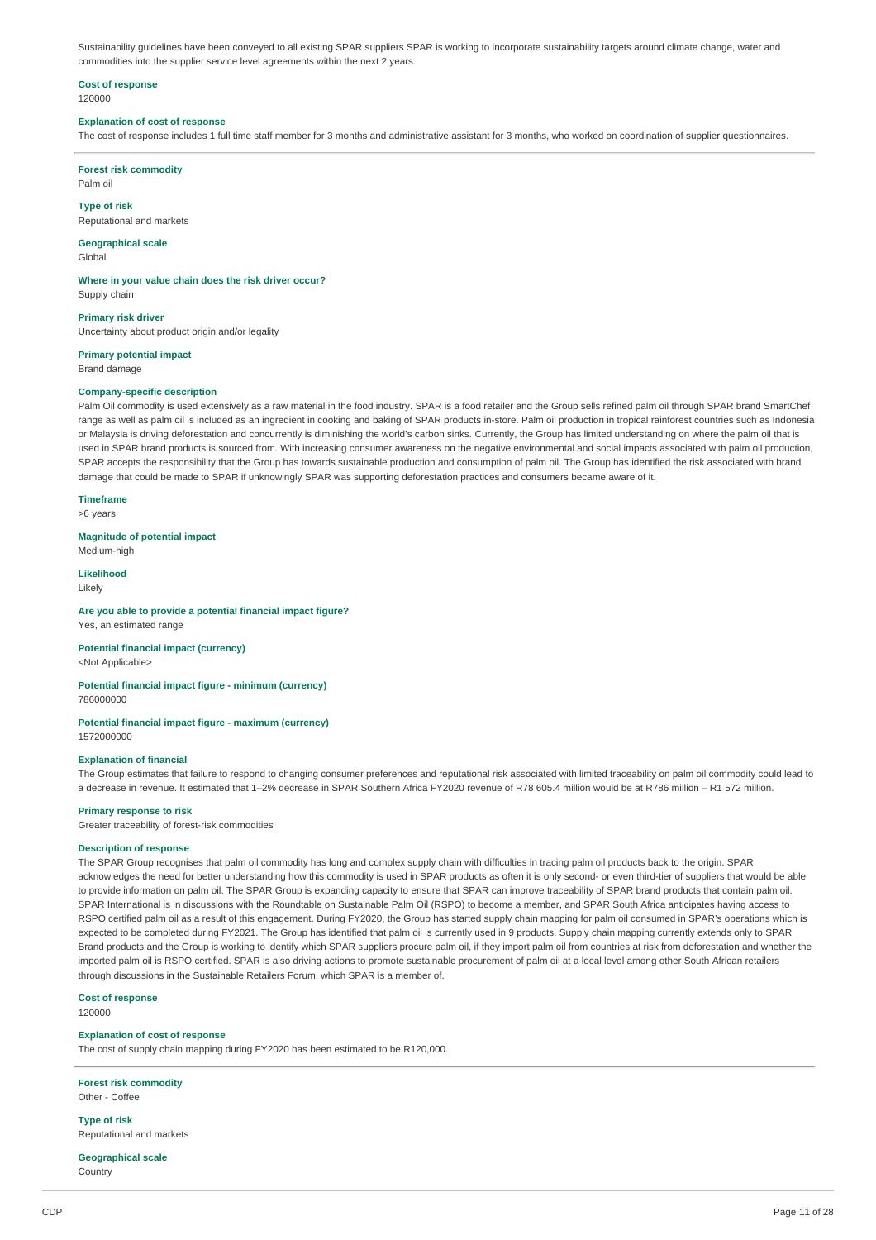Sustainability quidelines have been conveyed to all existing SPAR suppliers SPAR is working to incorporate sustainability targets around climate change, water and commodities into the supplier service level agreements within the next 2 years.

#### **Cost of response** 120000

#### **Explanation of cost of response**

The cost of response includes 1 full time staff member for 3 months and administrative assistant for 3 months, who worked on coordination of supplier questionnaires.

# **Forest risk commodity**

Palm oil

### **Type of risk**

Reputational and markets

# **Geographical scale**

Global

### **Where in your value chain does the risk driver occur?**

Supply chain

**Primary risk driver** Uncertainty about product origin and/or legality

**Primary potential impact** Brand damage

### **Company-specific description**

Palm Oil commodity is used extensively as a raw material in the food industry. SPAR is a food retailer and the Group sells refined palm oil through SPAR brand SmartChef range as well as palm oil is included as an ingredient in cooking and baking of SPAR products in-store. Palm oil production in tropical rainforest countries such as Indonesia or Malaysia is driving deforestation and concurrently is diminishing the world's carbon sinks. Currently, the Group has limited understanding on where the palm oil that is used in SPAR brand products is sourced from. With increasing consumer awareness on the negative environmental and social impacts associated with palm oil production, SPAR accepts the responsibility that the Group has towards sustainable production and consumption of palm oil. The Group has identified the risk associated with brand damage that could be made to SPAR if unknowingly SPAR was supporting deforestation practices and consumers became aware of it.

# **Timeframe**

>6 years

#### **Magnitude of potential impact**

Medium-high

# **Likelihood**

Likely

### **Are you able to provide a potential financial impact figure?**

Yes, an estimated range

# **Potential financial impact (currency)**

<Not Applicable>

#### **Potential financial impact figure - minimum (currency)** 786000000

# **Potential financial impact figure - maximum (currency)**

1572000000

### **Explanation of financial**

The Group estimates that failure to respond to changing consumer preferences and reputational risk associated with limited traceability on palm oil commodity could lead to a decrease in revenue. It estimated that 1–2% decrease in SPAR Southern Africa FY2020 revenue of R78 605.4 million would be at R786 million – R1 572 million.

#### **Primary response to risk**

Greater traceability of forest-risk commodities

### **Description of response**

The SPAR Group recognises that palm oil commodity has long and complex supply chain with difficulties in tracing palm oil products back to the origin. SPAR acknowledges the need for better understanding how this commodity is used in SPAR products as often it is only second- or even third-tier of suppliers that would be able to provide information on palm oil. The SPAR Group is expanding capacity to ensure that SPAR can improve traceability of SPAR brand products that contain palm oil. SPAR International is in discussions with the Roundtable on Sustainable Palm Oil (RSPO) to become a member, and SPAR South Africa anticipates having access to RSPO certified palm oil as a result of this engagement. During FY2020, the Group has started supply chain mapping for palm oil consumed in SPAR's operations which is expected to be completed during FY2021. The Group has identified that palm oil is currently used in 9 products. Supply chain mapping currently extends only to SPAR Brand products and the Group is working to identify which SPAR suppliers procure palm oil, if they import palm oil from countries at risk from deforestation and whether the imported palm oil is RSPO certified. SPAR is also driving actions to promote sustainable procurement of palm oil at a local level among other South African retailers through discussions in the Sustainable Retailers Forum, which SPAR is a member of.

### **Cost of response**

120000

### **Explanation of cost of response**

The cost of supply chain mapping during FY2020 has been estimated to be R120,000.

# **Forest risk commodity**

Other - Coffee

**Type of risk** Reputational and markets

#### **Geographical scale** Country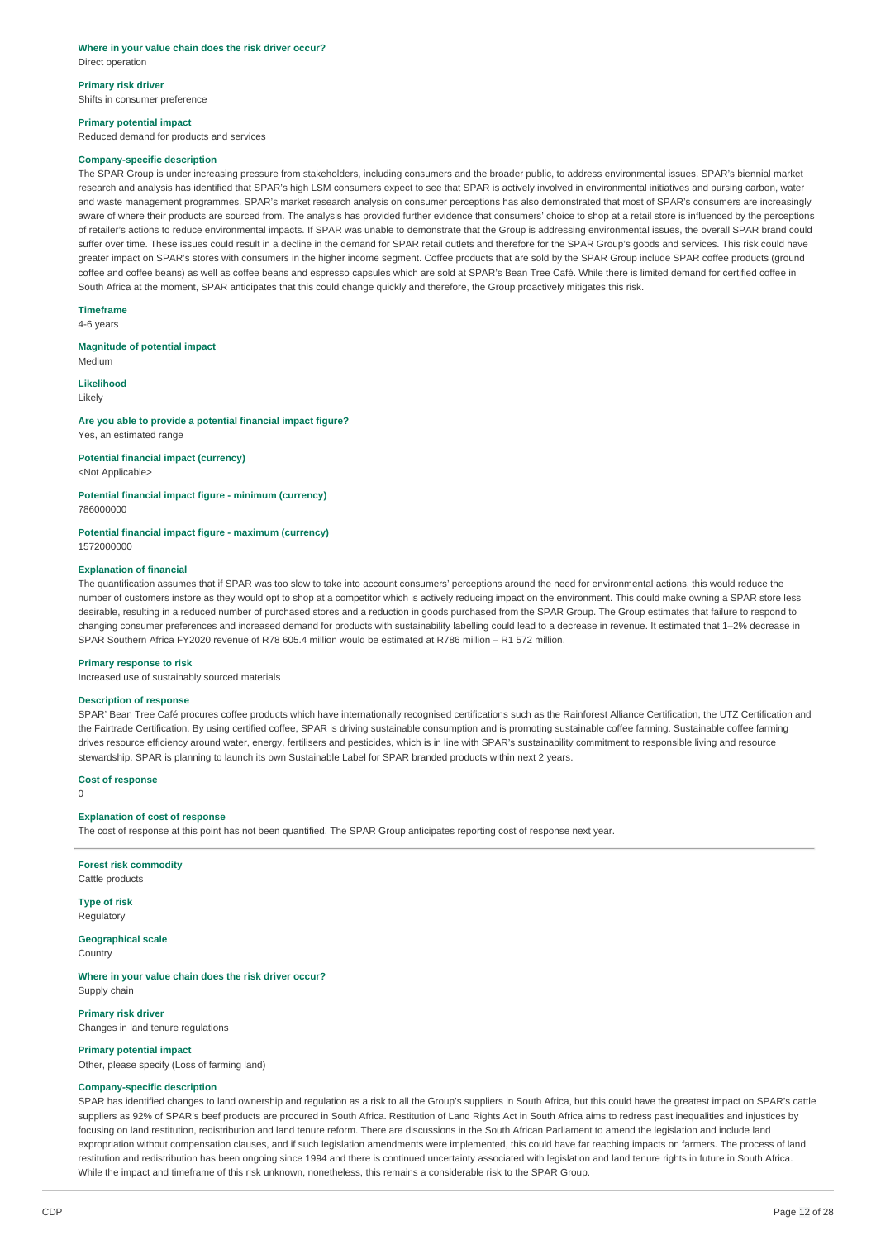#### **Where in your value chain does the risk driver occur?** Direct operation

# **Primary risk driver**

Shifts in consumer preference

### **Primary potential impact**

Reduced demand for products and services

#### **Company-specific description**

The SPAR Group is under increasing pressure from stakeholders, including consumers and the broader public, to address environmental issues. SPAR's biennial market research and analysis has identified that SPAR's high LSM consumers expect to see that SPAR is actively involved in environmental initiatives and pursing carbon, water and waste management programmes. SPAR's market research analysis on consumer perceptions has also demonstrated that most of SPAR's consumers are increasingly aware of where their products are sourced from. The analysis has provided further evidence that consumers' choice to shop at a retail store is influenced by the perceptions of retailer's actions to reduce environmental impacts. If SPAR was unable to demonstrate that the Group is addressing environmental issues, the overall SPAR brand could suffer over time. These issues could result in a decline in the demand for SPAR retail outlets and therefore for the SPAR Group's goods and services. This risk could have greater impact on SPAR's stores with consumers in the higher income segment. Coffee products that are sold by the SPAR Group include SPAR coffee products (ground coffee and coffee beans) as well as coffee beans and espresso capsules which are sold at SPAR's Bean Tree Café. While there is limited demand for certified coffee in South Africa at the moment, SPAR anticipates that this could change quickly and therefore, the Group proactively mitigates this risk.

**Timeframe** 4-6 years

**Magnitude of potential impact** Medium

**Likelihood**

Likely

**Are you able to provide a potential financial impact figure?** Yes, an estimated range

### **Potential financial impact (currency)**

<Not Applicable>

# **Potential financial impact figure - minimum (currency)**

786000000

#### **Potential financial impact figure - maximum (currency)**

1572000000

### **Explanation of financial**

The quantification assumes that if SPAR was too slow to take into account consumers' perceptions around the need for environmental actions, this would reduce the number of customers instore as they would opt to shop at a competitor which is actively reducing impact on the environment. This could make owning a SPAR store less desirable, resulting in a reduced number of purchased stores and a reduction in goods purchased from the SPAR Group. The Group estimates that failure to respond to changing consumer preferences and increased demand for products with sustainability labelling could lead to a decrease in revenue. It estimated that 1-2% decrease in SPAR Southern Africa FY2020 revenue of R78 605.4 million would be estimated at R786 million – R1 572 million.

#### **Primary response to risk**

Increased use of sustainably sourced materials

#### **Description of response**

SPAR' Bean Tree Café procures coffee products which have internationally recognised certifications such as the Rainforest Alliance Certification, the UTZ Certification and the Fairtrade Certification. By using certified coffee, SPAR is driving sustainable consumption and is promoting sustainable coffee farming. Sustainable coffee farming drives resource efficiency around water, energy, fertilisers and pesticides, which is in line with SPAR's sustainability commitment to responsible living and resource stewardship. SPAR is planning to launch its own Sustainable Label for SPAR branded products within next 2 years.

**Cost of response**

0

#### **Explanation of cost of response**

The cost of response at this point has not been quantified. The SPAR Group anticipates reporting cost of response next year.

**Forest risk commodity** Cattle products

**Type of risk** Regulatory

**Geographical scale** Country

**Where in your value chain does the risk driver occur?** Supply chain

**Primary risk driver** Changes in land tenure regulations

#### **Primary potential impact**

Other, please specify (Loss of farming land)

# **Company-specific description**

SPAR has identified changes to land ownership and regulation as a risk to all the Group's suppliers in South Africa, but this could have the greatest impact on SPAR's cattle suppliers as 92% of SPAR's beef products are procured in South Africa. Restitution of Land Rights Act in South Africa aims to redress past inequalities and injustices by focusing on land restitution, redistribution and land tenure reform. There are discussions in the South African Parliament to amend the legislation and include land expropriation without compensation clauses, and if such legislation amendments were implemented, this could have far reaching impacts on farmers. The process of land restitution and redistribution has been ongoing since 1994 and there is continued uncertainty associated with legislation and land tenure rights in future in South Africa. While the impact and timeframe of this risk unknown, nonetheless, this remains a considerable risk to the SPAR Group.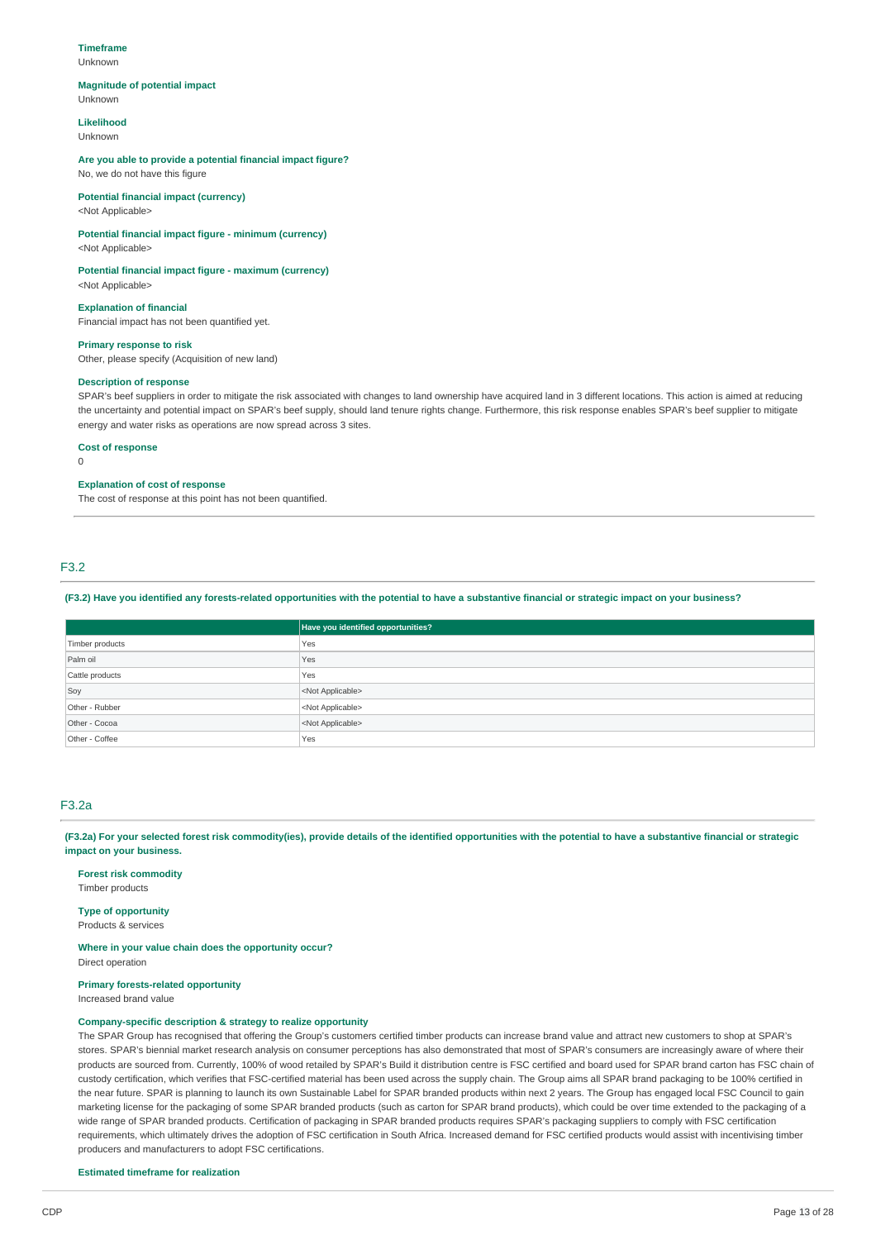#### **Timeframe**

Unknown

#### **Magnitude of potential impact**

Unknown

#### **Likelihood** Unknown

**Are you able to provide a potential financial impact figure?** No, we do not have this figure

# **Potential financial impact (currency)**

<Not Applicable>

### **Potential financial impact figure - minimum (currency)** <Not Applicable>

**Potential financial impact figure - maximum (currency)** <Not Applicable>

### **Explanation of financial**

Financial impact has not been quantified yet.

### **Primary response to risk**

Other, please specify (Acquisition of new land)

### **Description of response**

SPAR's beef suppliers in order to mitigate the risk associated with changes to land ownership have acquired land in 3 different locations. This action is aimed at reducing the uncertainty and potential impact on SPAR's beef supply, should land tenure rights change. Furthermore, this risk response enables SPAR's beef supplier to mitigate energy and water risks as operations are now spread across 3 sites.

### **Cost of response**

 $\Omega$ 

### **Explanation of cost of response**

The cost of response at this point has not been quantified.

# F3.2

#### (F3.2) Have you identified any forests-related opportunities with the potential to have a substantive financial or strategic impact on your business?

|                 | Have you identified opportunities? |
|-----------------|------------------------------------|
| Timber products | Yes                                |
| Palm oil        | Yes                                |
| Cattle products | Yes                                |
| Soy             | <not applicable=""></not>          |
| Other - Rubber  | <not applicable=""></not>          |
| Other - Cocoa   | <not applicable=""></not>          |
| Other - Coffee  | Yes                                |

### F3.2a

(F3.2a) For your selected forest risk commodity(ies), provide details of the identified opportunities with the potential to have a substantive financial or strategic **impact on your business.**

### **Forest risk commodity** Timber products

# **Type of opportunity**

Products & services

#### **Where in your value chain does the opportunity occur?** Direct operation

**Primary forests-related opportunity**

Increased brand value

### **Company-specific description & strategy to realize opportunity**

The SPAR Group has recognised that offering the Group's customers certified timber products can increase brand value and attract new customers to shop at SPAR's stores. SPAR's biennial market research analysis on consumer perceptions has also demonstrated that most of SPAR's consumers are increasingly aware of where their products are sourced from. Currently, 100% of wood retailed by SPAR's Build it distribution centre is FSC certified and board used for SPAR brand carton has FSC chain of custody certification, which verifies that FSC-certified material has been used across the supply chain. The Group aims all SPAR brand packaging to be 100% certified in the near future. SPAR is planning to launch its own Sustainable Label for SPAR branded products within next 2 years. The Group has engaged local FSC Council to gain marketing license for the packaging of some SPAR branded products (such as carton for SPAR brand products), which could be over time extended to the packaging of a wide range of SPAR branded products. Certification of packaging in SPAR branded products requires SPAR's packaging suppliers to comply with FSC certification requirements, which ultimately drives the adoption of FSC certification in South Africa. Increased demand for FSC certified products would assist with incentivising timber producers and manufacturers to adopt FSC certifications.

#### **Estimated timeframe for realization**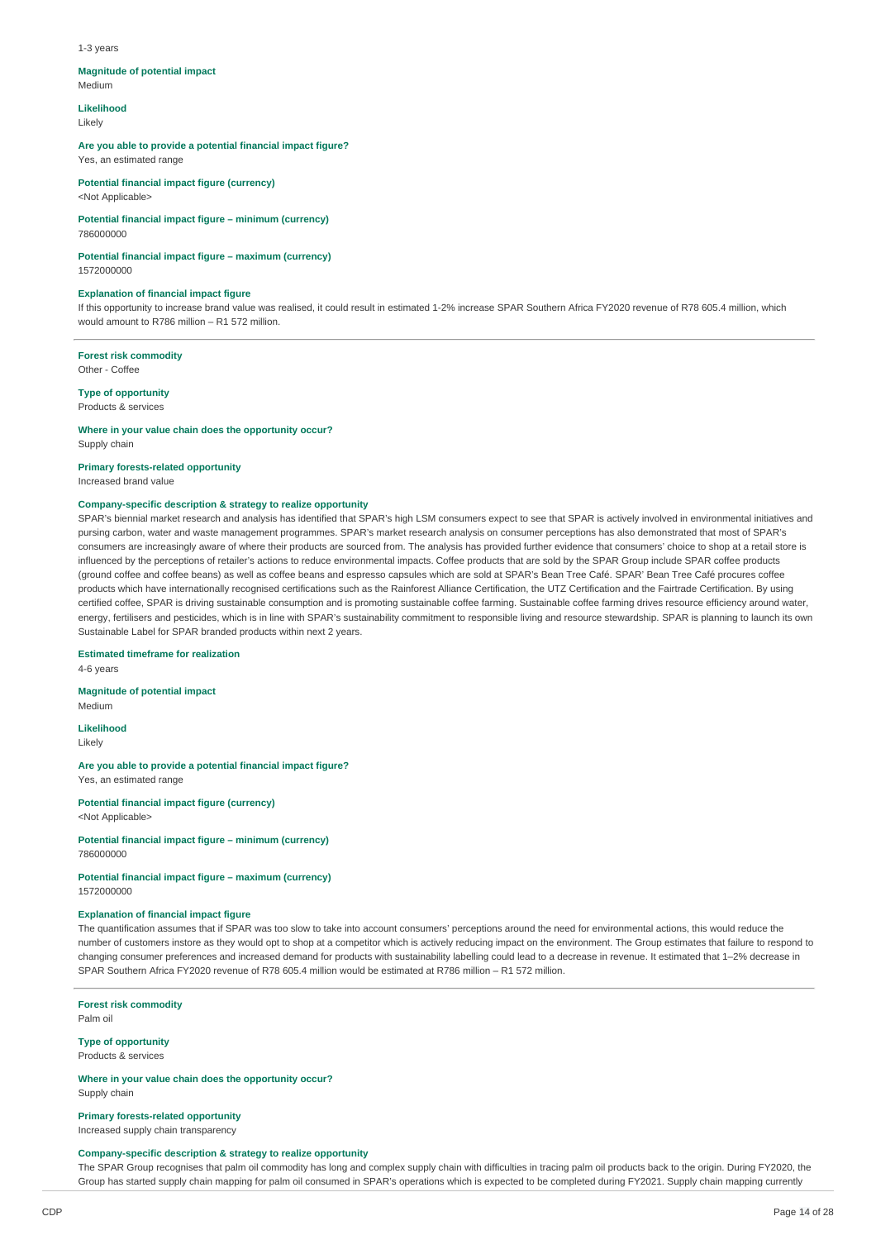#### 1-3 years

#### **Magnitude of potential impact**

Medium

**Likelihood**

Likely

## **Are you able to provide a potential financial impact figure?**

Yes, an estimated range

#### **Potential financial impact figure (currency)** <Not Applicable>

**Potential financial impact figure – minimum (currency)** 786000000

### **Potential financial impact figure – maximum (currency)**

1572000000

### **Explanation of financial impact figure**

If this opportunity to increase brand value was realised, it could result in estimated 1-2% increase SPAR Southern Africa FY2020 revenue of R78 605.4 million, which would amount to R786 million – R1 572 million.

**Forest risk commodity** Other - Coffee

### **Type of opportunity**

Products & services

#### **Where in your value chain does the opportunity occur?** Supply chain

**Primary forests-related opportunity**

Increased brand value

### **Company-specific description & strategy to realize opportunity**

SPAR's biennial market research and analysis has identified that SPAR's high LSM consumers expect to see that SPAR is actively involved in environmental initiatives and pursing carbon, water and waste management programmes. SPAR's market research analysis on consumer perceptions has also demonstrated that most of SPAR's consumers are increasingly aware of where their products are sourced from. The analysis has provided further evidence that consumers' choice to shop at a retail store is influenced by the perceptions of retailer's actions to reduce environmental impacts. Coffee products that are sold by the SPAR Group include SPAR coffee products (ground coffee and coffee beans) as well as coffee beans and espresso capsules which are sold at SPAR's Bean Tree Café. SPAR' Bean Tree Café procures coffee products which have internationally recognised certifications such as the Rainforest Alliance Certification, the UTZ Certification and the Fairtrade Certification. By using certified coffee, SPAR is driving sustainable consumption and is promoting sustainable coffee farming. Sustainable coffee farming drives resource efficiency around water, energy, fertilisers and pesticides, which is in line with SPAR's sustainability commitment to responsible living and resource stewardship. SPAR is planning to launch its own Sustainable Label for SPAR branded products within next 2 years.

**Estimated timeframe for realization**

4-6 years

#### **Magnitude of potential impact**

Medium

**Likelihood** Likely

**Are you able to provide a potential financial impact figure?** Yes, an estimated range

**Potential financial impact figure (currency)** <Not Applicable>

#### **Potential financial impact figure – minimum (currency)** 786000000

**Potential financial impact figure – maximum (currency)** 1572000000

### **Explanation of financial impact figure**

The quantification assumes that if SPAR was too slow to take into account consumers' perceptions around the need for environmental actions, this would reduce the number of customers instore as they would opt to shop at a competitor which is actively reducing impact on the environment. The Group estimates that failure to respond to changing consumer preferences and increased demand for products with sustainability labelling could lead to a decrease in revenue. It estimated that 1–2% decrease in SPAR Southern Africa FY2020 revenue of R78 605.4 million would be estimated at R786 million – R1 572 million.

**Forest risk commodity** Palm oil

#### **Type of opportunity** Products & services

**Where in your value chain does the opportunity occur?** Supply chain

# **Primary forests-related opportunity**

Increased supply chain transparency

### **Company-specific description & strategy to realize opportunity**

The SPAR Group recognises that palm oil commodity has long and complex supply chain with difficulties in tracing palm oil products back to the origin. During FY2020, the Group has started supply chain mapping for palm oil consumed in SPAR's operations which is expected to be completed during FY2021. Supply chain mapping currently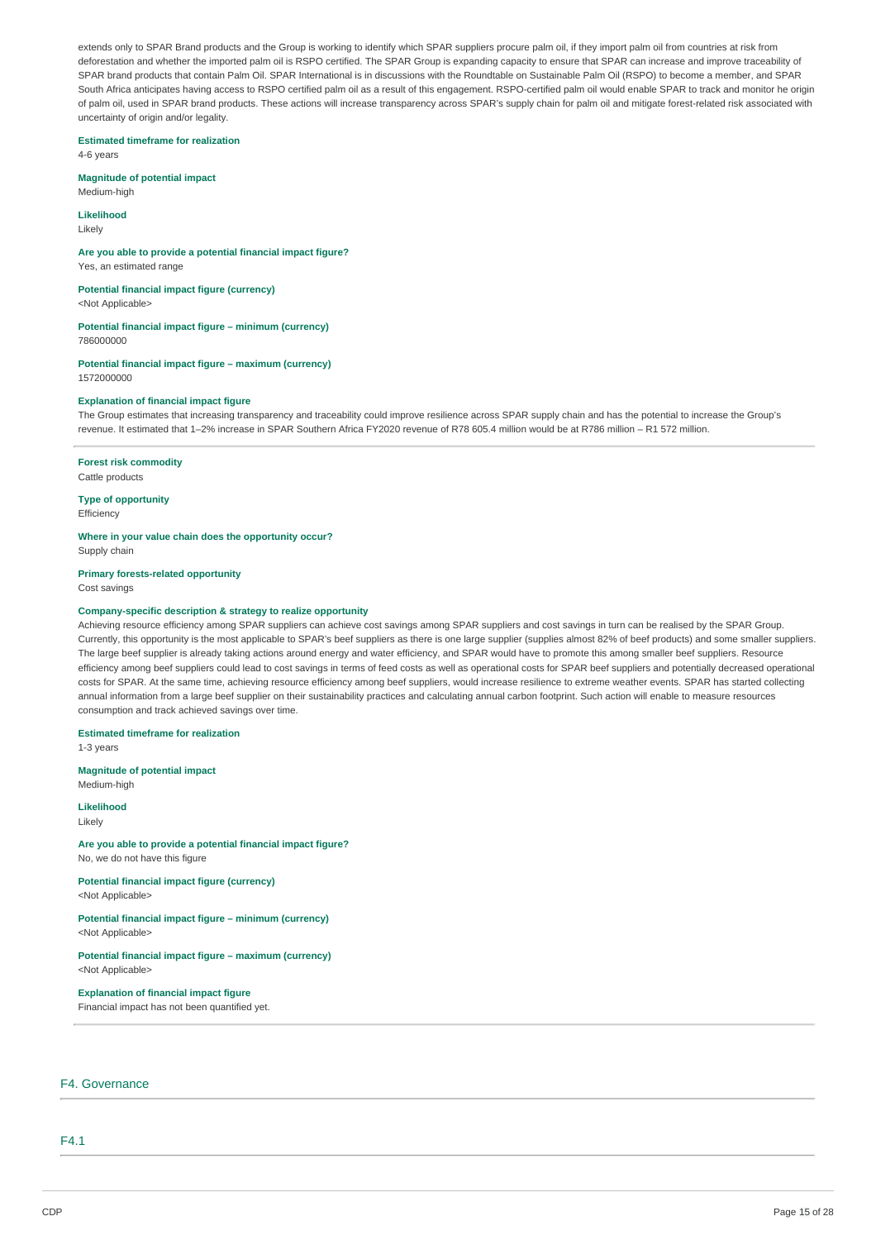extends only to SPAR Brand products and the Group is working to identify which SPAR suppliers procure palm oil, if they import palm oil from countries at risk from deforestation and whether the imported palm oil is RSPO certified. The SPAR Group is expanding capacity to ensure that SPAR can increase and improve traceability of SPAR brand products that contain Palm Oil. SPAR International is in discussions with the Roundtable on Sustainable Palm Oil (RSPO) to become a member, and SPAR South Africa anticipates having access to RSPO certified palm oil as a result of this engagement. RSPO-certified palm oil would enable SPAR to track and monitor he origin of palm oil, used in SPAR brand products. These actions will increase transparency across SPAR's supply chain for palm oil and mitigate forest-related risk associated with uncertainty of origin and/or legality.

### **Estimated timeframe for realization**

4-6 years

# **Magnitude of potential impact**

Medium-high

## **Likelihood**

Likely

**Are you able to provide a potential financial impact figure?** Yes, an estimated range

**Potential financial impact figure (currency)**

<Not Applicable>

**Potential financial impact figure – minimum (currency)** 786000000

**Potential financial impact figure – maximum (currency)** 1572000000

### **Explanation of financial impact figure**

The Group estimates that increasing transparency and traceability could improve resilience across SPAR supply chain and has the potential to increase the Group's revenue. It estimated that 1–2% increase in SPAR Southern Africa FY2020 revenue of R78 605.4 million would be at R786 million – R1 572 million.

**Forest risk commodity** Cattle products

**Type of opportunity Efficiency** 

**Where in your value chain does the opportunity occur?**

Supply chain

# **Primary forests-related opportunity**

Cost savings

### **Company-specific description & strategy to realize opportunity**

Achieving resource efficiency among SPAR suppliers can achieve cost savings among SPAR suppliers and cost savings in turn can be realised by the SPAR Group. Currently, this opportunity is the most applicable to SPAR's beef suppliers as there is one large supplier (supplies almost 82% of beef products) and some smaller suppliers. The large beef supplier is already taking actions around energy and water efficiency, and SPAR would have to promote this among smaller beef suppliers. Resource efficiency among beef suppliers could lead to cost savings in terms of feed costs as well as operational costs for SPAR beef suppliers and potentially decreased operational costs for SPAR. At the same time, achieving resource efficiency among beef suppliers, would increase resilience to extreme weather events. SPAR has started collecting annual information from a large beef supplier on their sustainability practices and calculating annual carbon footprint. Such action will enable to measure resources consumption and track achieved savings over time.

**Estimated timeframe for realization** 1-3 years

**Magnitude of potential impact**

Medium-high

**Likelihood** Likely

### **Are you able to provide a potential financial impact figure?**

No, we do not have this figure

**Potential financial impact figure (currency)** <Not Applicable>

# **Potential financial impact figure – minimum (currency)**

<Not Applicable>

### **Potential financial impact figure – maximum (currency)** <Not Applicable>

**Explanation of financial impact figure**

Financial impact has not been quantified yet.

# F4. Governance

F4.1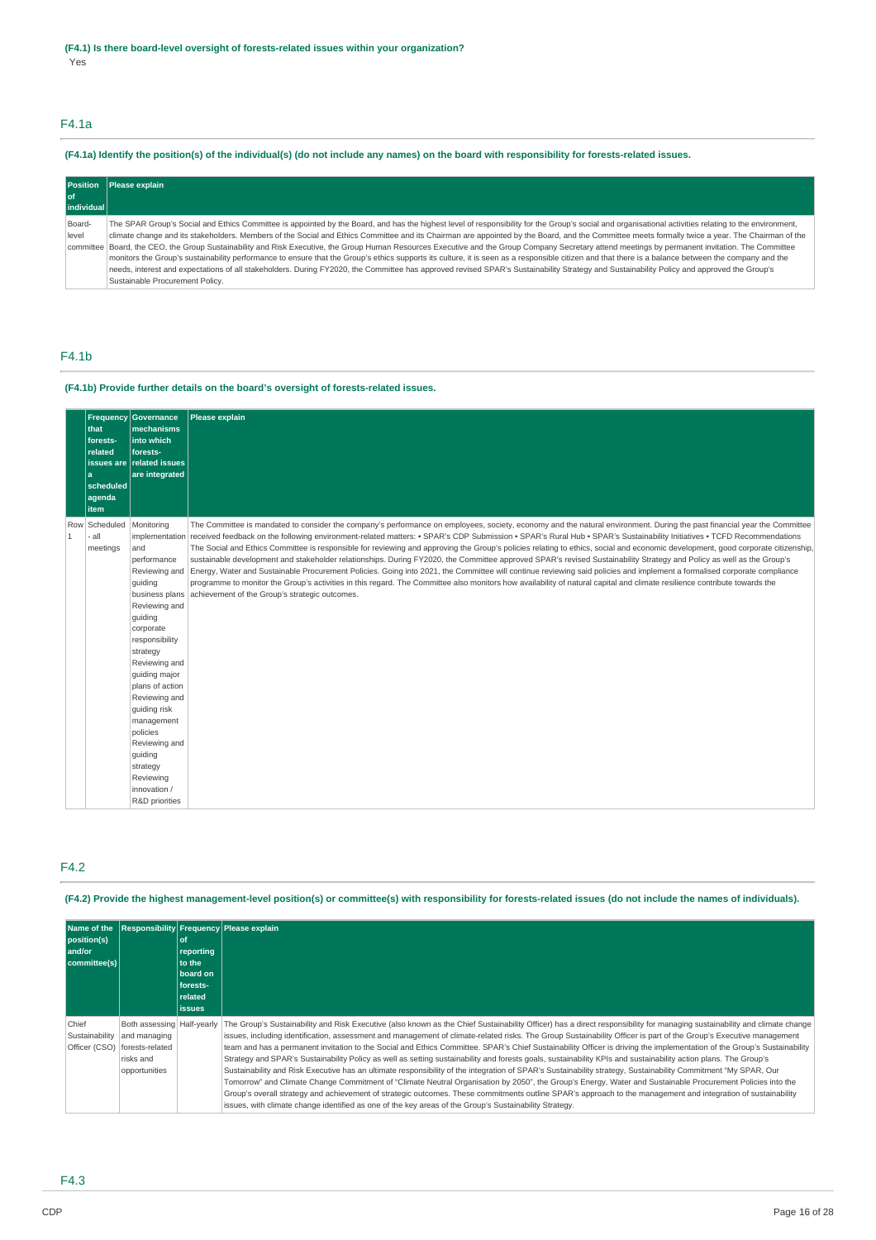# F4.1a

# (F4.1a) Identify the position(s) of the individual(s) (do not include any names) on the board with responsibility for forests-related issues.

| <b>Position</b> | Please explain                                                                                                                                                                                        |
|-----------------|-------------------------------------------------------------------------------------------------------------------------------------------------------------------------------------------------------|
| l of            |                                                                                                                                                                                                       |
| individual      |                                                                                                                                                                                                       |
| Board-          | The SPAR Group's Social and Ethics Committee is appointed by the Board, and has the highest level of responsibility for the Group's social and organisational activities relating to the environment, |
| level           | climate change and its stakeholders. Members of the Social and Ethics Committee and its Chairman are appointed by the Board, and the Committee meets formally twice a year. The Chairman of the       |
|                 | committee Board, the CEO, the Group Sustainability and Risk Executive, the Group Human Resources Executive and the Group Company Secretary attend meetings by permanent invitation. The Committee     |
|                 | monitors the Group's sustainability performance to ensure that the Group's ethics supports its culture, it is seen as a responsible citizen and that there is a balance between the company and the   |
|                 | needs, interest and expectations of all stakeholders. During FY2020, the Committee has approved revised SPAR's Sustainability Strategy and Sustainability Policy and approved the Group's             |
|                 | Sustainable Procurement Policy.                                                                                                                                                                       |

# F4.1b

### **(F4.1b) Provide further details on the board's oversight of forests-related issues.**

|              | that<br>forests-<br>related<br>a<br>scheduled<br>agenda<br>item | <b>Frequency Governance</b><br>mechanisms<br>into which<br>forests-<br>issues are related issues<br>are integrated                                                                                                                                                                                                                                                             | Please explain                                                                                                                                                                                                                                                                                                                                                                                                                                                                                                                                                                                                                                                                                                                                                                                                                                                                                                                                                                                                                                                                                                            |
|--------------|-----------------------------------------------------------------|--------------------------------------------------------------------------------------------------------------------------------------------------------------------------------------------------------------------------------------------------------------------------------------------------------------------------------------------------------------------------------|---------------------------------------------------------------------------------------------------------------------------------------------------------------------------------------------------------------------------------------------------------------------------------------------------------------------------------------------------------------------------------------------------------------------------------------------------------------------------------------------------------------------------------------------------------------------------------------------------------------------------------------------------------------------------------------------------------------------------------------------------------------------------------------------------------------------------------------------------------------------------------------------------------------------------------------------------------------------------------------------------------------------------------------------------------------------------------------------------------------------------|
| $\mathbf{1}$ | Row Scheduled<br>all.<br>meetings                               | Monitoring<br>implementation<br>and<br>performance<br>Reviewing and<br>quiding<br>business plans<br>Reviewing and<br>guiding<br>corporate<br>responsibility<br>strategy<br>Reviewing and<br>quiding major<br>plans of action<br>Reviewing and<br>guiding risk<br>management<br>policies<br>Reviewing and<br>guiding<br>strategy<br>Reviewing<br>innovation /<br>R&D priorities | The Committee is mandated to consider the company's performance on employees, society, economy and the natural environment. During the past financial year the Committee<br>received feedback on the following environment-related matters: • SPAR's CDP Submission • SPAR's Rural Hub • SPAR's Sustainability Initiatives • TCFD Recommendations<br>The Social and Ethics Committee is responsible for reviewing and approving the Group's policies relating to ethics, social and economic development, good corporate citizenship,<br>sustainable development and stakeholder relationships. During FY2020, the Committee approved SPAR's revised Sustainability Strategy and Policy as well as the Group's<br>Energy, Water and Sustainable Procurement Policies. Going into 2021, the Committee will continue reviewing said policies and implement a formalised corporate compliance<br>programme to monitor the Group's activities in this regard. The Committee also monitors how availability of natural capital and climate resilience contribute towards the<br>achievement of the Group's strategic outcomes. |

# F4.2

(F4.2) Provide the highest management-level position(s) or committee(s) with responsibility for forests-related issues (do not include the names of individuals).

| Name of the<br>position(s)<br>and/or<br>committee(s) |                                                                                               | of<br>reporting<br>to the<br>board on<br>forests-<br>related<br><b>issues</b> | <b>Responsibility Frequency Please explain</b>                                                                                                                                                                                                                                                                                                                                                                                                                                                                                                                                                                                                                                                                                                                                                                                                                                                                                                                                                                                                                                                                                                                                                                                                                                                           |
|------------------------------------------------------|-----------------------------------------------------------------------------------------------|-------------------------------------------------------------------------------|----------------------------------------------------------------------------------------------------------------------------------------------------------------------------------------------------------------------------------------------------------------------------------------------------------------------------------------------------------------------------------------------------------------------------------------------------------------------------------------------------------------------------------------------------------------------------------------------------------------------------------------------------------------------------------------------------------------------------------------------------------------------------------------------------------------------------------------------------------------------------------------------------------------------------------------------------------------------------------------------------------------------------------------------------------------------------------------------------------------------------------------------------------------------------------------------------------------------------------------------------------------------------------------------------------|
| Chief<br>Sustainability<br>Officer (CSO)             | Both assessing   Half-yearly<br>and managing<br>forests-related<br>risks and<br>opportunities |                                                                               | The Group's Sustainability and Risk Executive (also known as the Chief Sustainability Officer) has a direct responsibility for managing sustainability and climate change<br>issues, including identification, assessment and management of climate-related risks. The Group Sustainability Officer is part of the Group's Executive management<br>team and has a permanent invitation to the Social and Ethics Committee. SPAR's Chief Sustainability Officer is driving the implementation of the Group's Sustainability<br>Strategy and SPAR's Sustainability Policy as well as setting sustainability and forests goals, sustainability KPIs and sustainability action plans. The Group's<br>Sustainability and Risk Executive has an ultimate responsibility of the integration of SPAR's Sustainability strategy, Sustainability Commitment "My SPAR, Our<br>Tomorrow" and Climate Change Commitment of "Climate Neutral Organisation by 2050", the Group's Energy, Water and Sustainable Procurement Policies into the<br>Group's overall strategy and achievement of strategic outcomes. These commitments outline SPAR's approach to the management and integration of sustainability<br>issues, with climate change identified as one of the key areas of the Group's Sustainability Strategy. |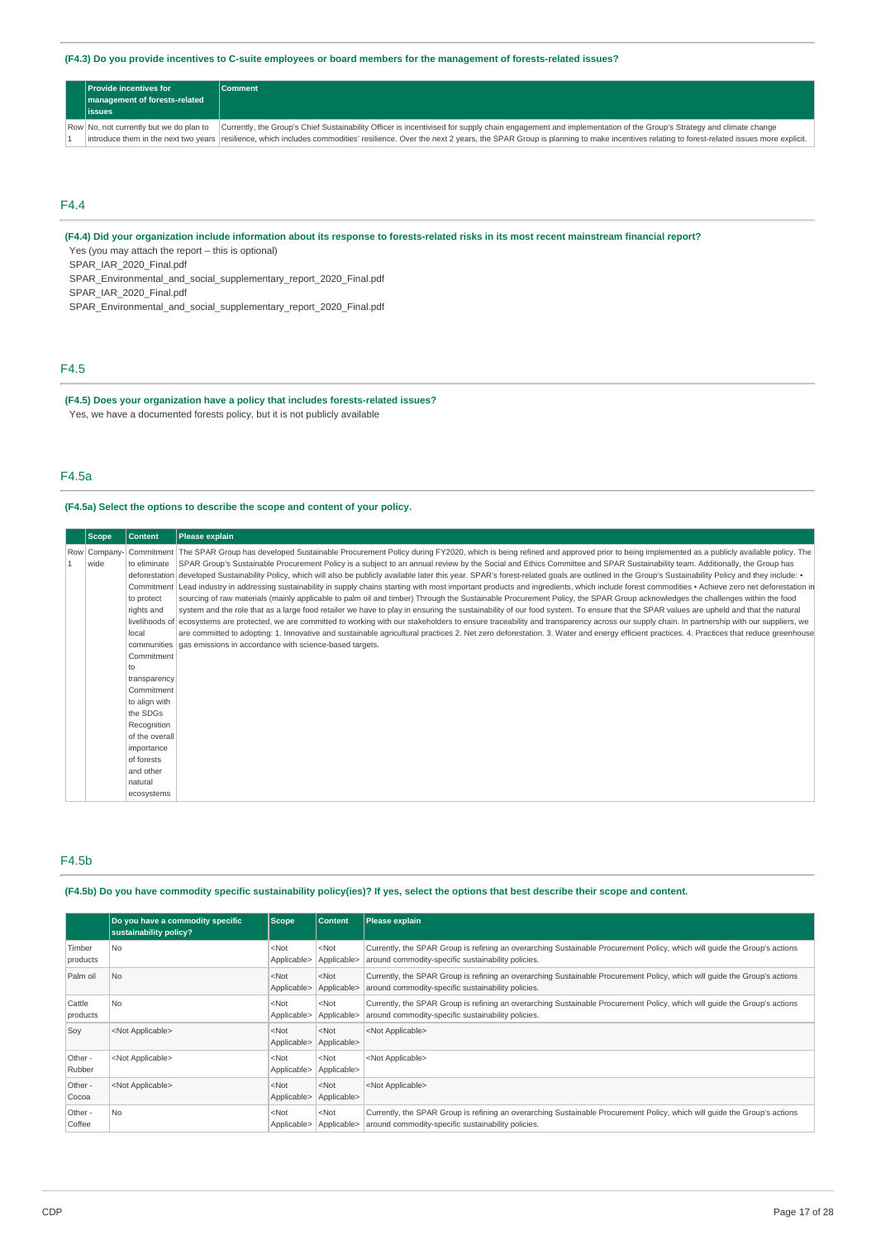(F4.3) Do you provide incentives to C-suite employees or board members for the management of forests-related issues?

| <b>Provide incentives for a</b><br>management of forests-related<br>lissues | <b>Comment</b>                                                                                                                                                                                                 |
|-----------------------------------------------------------------------------|----------------------------------------------------------------------------------------------------------------------------------------------------------------------------------------------------------------|
| Row No, not currently but we do plan to                                     | Currently, the Group's Chief Sustainability Officer is incentivised for supply chain engagement and implementation of the Group's Strategy and climate change                                                  |
|                                                                             | introduce them in the next two years resilience, which includes commodities' resilience. Over the next 2 years, the SPAR Group is planning to make incentives relating to forest-related issues more explicit. |

# F4.4

(F4.4) Did your organization include information about its response to forests-related risks in its most recent mainstream financial report?

Yes (you may attach the report – this is optional)

SPAR\_IAR\_2020\_Final.pdf

SPAR\_Environmental\_and\_social\_supplementary\_report\_2020\_Final.pdf

SPAR\_IAR\_2020\_Final.pdf

SPAR\_Environmental\_and\_social\_supplementary\_report\_2020\_Final.pdf

# F4.5

### **(F4.5) Does your organization have a policy that includes forests-related issues?** Yes, we have a documented forests policy, but it is not publicly available

# F4.5a

### **(F4.5a) Select the options to describe the scope and content of your policy.**

| <b>Scope</b>         | <b>Content</b>                                                                                                                             | <b>Please explain</b>                                                                                                                                                                                                                                                                                                                                                                                                                                                                                                                                                                                                                                                                                                                                                                                                                                                                                                                                                                                                                                                                                                                                                                                                                                                                                                                                                                                                                                                                                                                                                                                                               |
|----------------------|--------------------------------------------------------------------------------------------------------------------------------------------|-------------------------------------------------------------------------------------------------------------------------------------------------------------------------------------------------------------------------------------------------------------------------------------------------------------------------------------------------------------------------------------------------------------------------------------------------------------------------------------------------------------------------------------------------------------------------------------------------------------------------------------------------------------------------------------------------------------------------------------------------------------------------------------------------------------------------------------------------------------------------------------------------------------------------------------------------------------------------------------------------------------------------------------------------------------------------------------------------------------------------------------------------------------------------------------------------------------------------------------------------------------------------------------------------------------------------------------------------------------------------------------------------------------------------------------------------------------------------------------------------------------------------------------------------------------------------------------------------------------------------------------|
| Row Company-<br>wide | to eliminate<br>to protect<br>rights and<br>local<br>Commitment<br>to<br>transparency                                                      | Commitment The SPAR Group has developed Sustainable Procurement Policy during FY2020, which is being refined and approved prior to being implemented as a publicly available policy. The<br>SPAR Group's Sustainable Procurement Policy is a subject to an annual review by the Social and Ethics Committee and SPAR Sustainability team. Additionally, the Group has<br>deforestation developed Sustainability Policy, which will also be publicly available later this year. SPAR's forest-related goals are outlined in the Group's Sustainability Policy and they include: •<br>Commitment Lead industry in addressing sustainability in supply chains starting with most important products and ingredients, which include forest commodities • Achieve zero net deforestation in<br>sourcing of raw materials (mainly applicable to palm oil and timber) Through the Sustainable Procurement Policy, the SPAR Group acknowledges the challenges within the food<br>system and the role that as a large food retailer we have to play in ensuring the sustainability of our food system. To ensure that the SPAR values are upheld and that the natural<br>livelihoods of ecosystems are protected, we are committed to working with our stakeholders to ensure traceability and transparency across our supply chain. In partnership with our suppliers, we<br>are committed to adopting: 1. Innovative and sustainable agricultural practices 2. Net zero deforestation. 3. Water and energy efficient practices. 4. Practices that reduce greenhouse<br>communities gas emissions in accordance with science-based targets. |
|                      | Commitment<br>to align with<br>the SDGs<br>Recognition<br>of the overall<br>importance<br>of forests<br>and other<br>natural<br>ecosystems |                                                                                                                                                                                                                                                                                                                                                                                                                                                                                                                                                                                                                                                                                                                                                                                                                                                                                                                                                                                                                                                                                                                                                                                                                                                                                                                                                                                                                                                                                                                                                                                                                                     |

### F4.5b

### (F4.5b) Do you have commodity specific sustainability policy(ies)? If yes, select the options that best describe their scope and content.

|                    | Do you have a commodity specific<br>sustainability policy? | Scope                  | <b>Content</b>         | Please explain                                                                                                                                                                  |
|--------------------|------------------------------------------------------------|------------------------|------------------------|---------------------------------------------------------------------------------------------------------------------------------------------------------------------------------|
| Timber<br>products | <b>No</b>                                                  | $<$ Not<br>Applicable> | $<$ Not<br>Applicable> | Currently, the SPAR Group is refining an overarching Sustainable Procurement Policy, which will quide the Group's actions<br>around commodity-specific sustainability policies. |
| Palm oil           | No.                                                        | $<$ Not<br>Applicable> | $<$ Not<br>Applicable> | Currently, the SPAR Group is refining an overarching Sustainable Procurement Policy, which will quide the Group's actions<br>around commodity-specific sustainability policies. |
| Cattle<br>products | <b>No</b>                                                  | $<$ Not<br>Applicable> | $<$ Not<br>Applicable> | Currently, the SPAR Group is refining an overarching Sustainable Procurement Policy, which will quide the Group's actions<br>around commodity-specific sustainability policies. |
| Soy                | <not applicable=""></not>                                  | $<$ Not<br>Applicable> | $<$ Not<br>Applicable> | <not applicable=""></not>                                                                                                                                                       |
| Other -<br>Rubber  | <not applicable=""></not>                                  | $<$ Not<br>Applicable> | $<$ Not<br>Applicable> | <not applicable=""></not>                                                                                                                                                       |
| Other -<br>Cocoa   | <not applicable=""></not>                                  | $<$ Not<br>Applicable> | $<$ Not<br>Applicable> | <not applicable=""></not>                                                                                                                                                       |
| Other -<br>Coffee  | <b>No</b>                                                  | $<$ Not<br>Applicable> | $<$ Not<br>Applicable> | Currently, the SPAR Group is refining an overarching Sustainable Procurement Policy, which will quide the Group's actions<br>around commodity-specific sustainability policies. |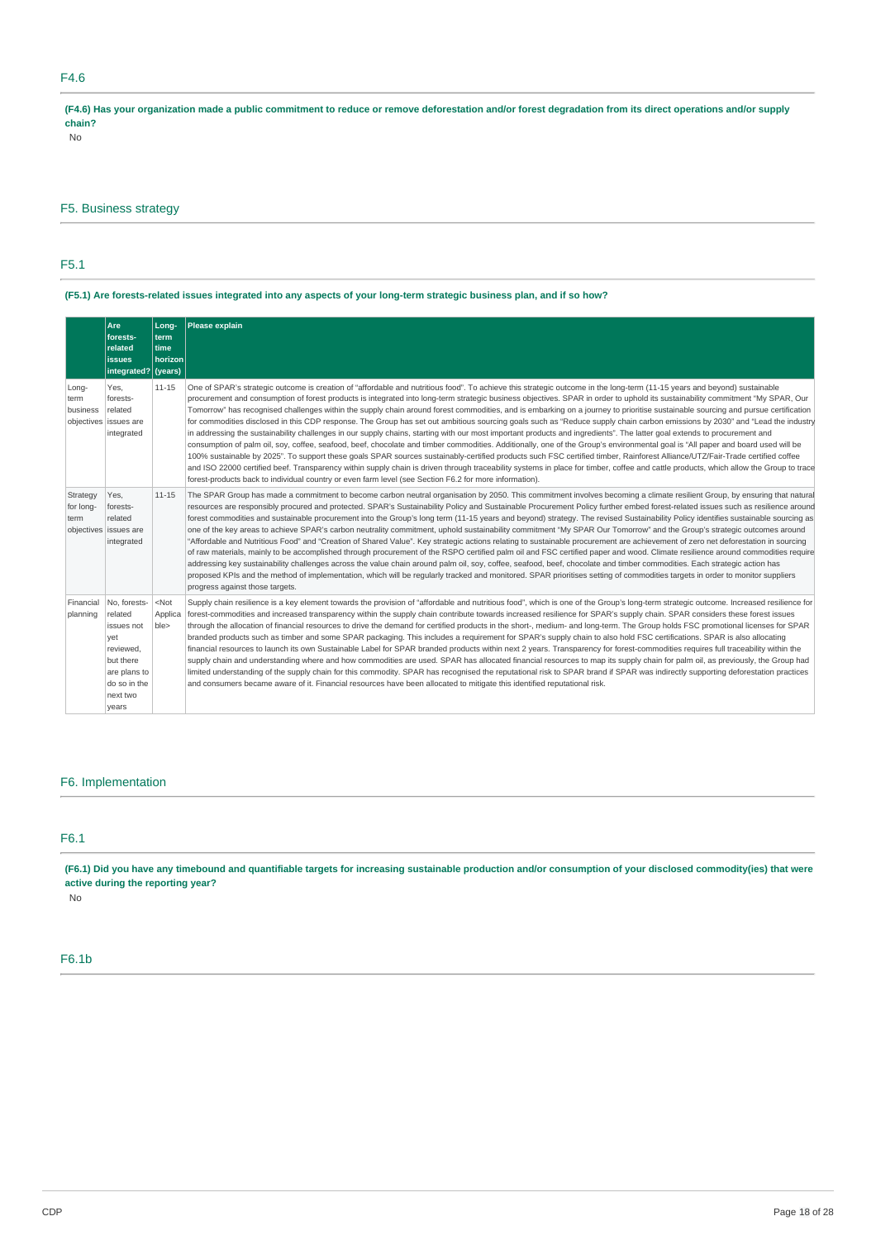# F4.6

(F4.6) Has your organization made a public commitment to reduce or remove deforestation and/or forest degradation from its direct operations and/or supply **chain?**

No

# F5. Business strategy

# F5.1

# (F5.1) Are forests-related issues integrated into any aspects of your long-term strategic business plan, and if so how?

|                               | Are<br>forests-<br>related<br><b>issues</b><br>integrated?                                                                  | Long-<br>term<br>time<br>horizon<br>(years) | Please explain                                                                                                                                                                                                                                                                                                                                                                                                                                                                                                                                                                                                                                                                                                                                                                                                                                                                                                                                                                                                                                                                                                                                                                                                                                                                                                                                                                                                                                                                                                                                                                   |
|-------------------------------|-----------------------------------------------------------------------------------------------------------------------------|---------------------------------------------|----------------------------------------------------------------------------------------------------------------------------------------------------------------------------------------------------------------------------------------------------------------------------------------------------------------------------------------------------------------------------------------------------------------------------------------------------------------------------------------------------------------------------------------------------------------------------------------------------------------------------------------------------------------------------------------------------------------------------------------------------------------------------------------------------------------------------------------------------------------------------------------------------------------------------------------------------------------------------------------------------------------------------------------------------------------------------------------------------------------------------------------------------------------------------------------------------------------------------------------------------------------------------------------------------------------------------------------------------------------------------------------------------------------------------------------------------------------------------------------------------------------------------------------------------------------------------------|
| Long-<br>term<br>business     | Yes.<br>forests-<br>related<br>objectives issues are<br>integrated                                                          | $11 - 15$                                   | One of SPAR's strategic outcome is creation of "affordable and nutritious food". To achieve this strategic outcome in the long-term (11-15 years and beyond) sustainable<br>procurement and consumption of forest products is integrated into long-term strategic business objectives. SPAR in order to uphold its sustainability commitment "My SPAR, Our<br>Tomorrow" has recognised challenges within the supply chain around forest commodities, and is embarking on a journey to prioritise sustainable sourcing and pursue certification<br>for commodities disclosed in this CDP response. The Group has set out ambitious sourcing goals such as "Reduce supply chain carbon emissions by 2030" and "Lead the industry<br>in addressing the sustainability challenges in our supply chains, starting with our most important products and ingredients". The latter goal extends to procurement and<br>consumption of palm oil, soy, coffee, seafood, beef, chocolate and timber commodities. Additionally, one of the Group's environmental goal is "All paper and board used will be<br>100% sustainable by 2025". To support these goals SPAR sources sustainably-certified products such FSC certified timber, Rainforest Alliance/UTZ/Fair-Trade certified coffee<br>and ISO 22000 certified beef. Transparency within supply chain is driven through traceability systems in place for timber, coffee and cattle products, which allow the Group to trace<br>forest-products back to individual country or even farm level (see Section F6.2 for more information). |
| Strategy<br>for long-<br>term | Yes.<br>forests-<br>related<br>objectives issues are<br>integrated                                                          | $11 - 15$                                   | The SPAR Group has made a commitment to become carbon neutral organisation by 2050. This commitment involves becoming a climate resilient Group, by ensuring that natural<br>resources are responsibly procured and protected. SPAR's Sustainability Policy and Sustainable Procurement Policy further embed forest-related issues such as resilience around<br>forest commodities and sustainable procurement into the Group's long term (11-15 years and beyond) strategy. The revised Sustainability Policy identifies sustainable sourcing as<br>one of the key areas to achieve SPAR's carbon neutrality commitment, uphold sustainability commitment "My SPAR Our Tomorrow" and the Group's strategic outcomes around<br>"Affordable and Nutritious Food" and "Creation of Shared Value". Key strategic actions relating to sustainable procurement are achievement of zero net deforestation in sourcing<br>of raw materials, mainly to be accomplished through procurement of the RSPO certified palm oil and FSC certified paper and wood. Climate resilience around commodities require<br>addressing key sustainability challenges across the value chain around palm oil, soy, coffee, seafood, beef, chocolate and timber commodities. Each strategic action has<br>proposed KPIs and the method of implementation, which will be regularly tracked and monitored. SPAR prioritises setting of commodities targets in order to monitor suppliers<br>progress against those targets.                                                                                 |
| Financial<br>planning         | No. forests-<br>related<br>issues not<br>yet<br>reviewed,<br>but there<br>are plans to<br>do so in the<br>next two<br>years | $<$ Not<br>Applica<br>ble>                  | Supply chain resilience is a key element towards the provision of "affordable and nutritious food", which is one of the Group's long-term strategic outcome. Increased resilience for<br>forest-commodities and increased transparency within the supply chain contribute towards increased resilience for SPAR's supply chain. SPAR considers these forest issues<br>through the allocation of financial resources to drive the demand for certified products in the short-, medium- and long-term. The Group holds FSC promotional licenses for SPAR<br>branded products such as timber and some SPAR packaging. This includes a requirement for SPAR's supply chain to also hold FSC certifications. SPAR is also allocating<br>financial resources to launch its own Sustainable Label for SPAR branded products within next 2 years. Transparency for forest-commodities requires full traceability within the<br>supply chain and understanding where and how commodities are used. SPAR has allocated financial resources to map its supply chain for palm oil, as previously, the Group had<br>limited understanding of the supply chain for this commodity. SPAR has recognised the reputational risk to SPAR brand if SPAR was indirectly supporting deforestation practices<br>and consumers became aware of it. Financial resources have been allocated to mitigate this identified reputational risk.                                                                                                                                                               |

# F6. Implementation

# F6.1

(F6.1) Did you have any timebound and quantifiable targets for increasing sustainable production and/or consumption of your disclosed commodity(ies) that were **active during the reporting year?**

No

# F6.1b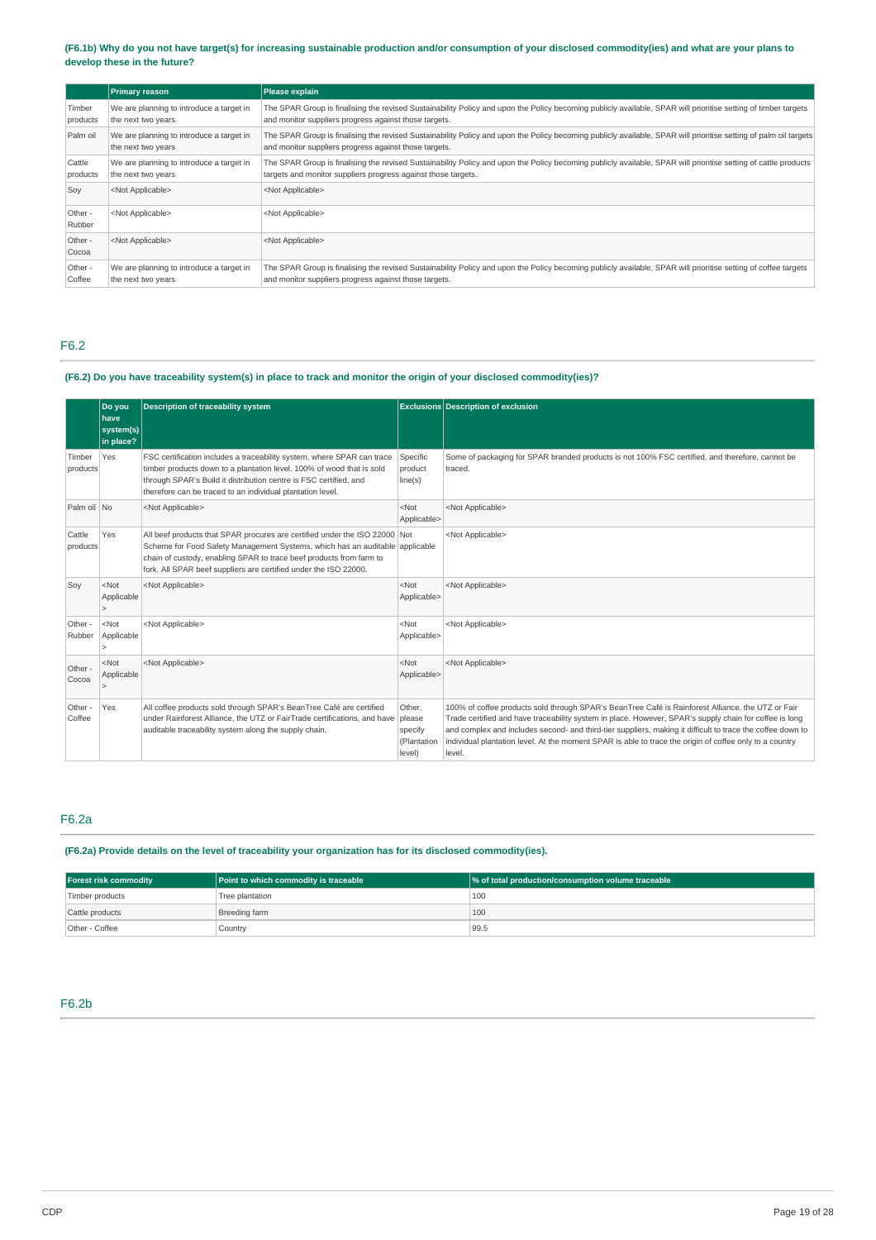(F6.1b) Why do you not have target(s) for increasing sustainable production and/or consumption of your disclosed commodity(ies) and what are your plans to **develop these in the future?**

|                    | <b>Primary reason</b>                                          | Please explain                                                                                                                                                                                                                   |
|--------------------|----------------------------------------------------------------|----------------------------------------------------------------------------------------------------------------------------------------------------------------------------------------------------------------------------------|
| Timber<br>products | We are planning to introduce a target in<br>the next two years | The SPAR Group is finalising the revised Sustainability Policy and upon the Policy becoming publicly available, SPAR will prioritise setting of timber targets<br>and monitor suppliers progress against those targets.          |
| Palm oil           | We are planning to introduce a target in<br>the next two years | The SPAR Group is finalising the revised Sustainability Policy and upon the Policy becoming publicly available, SPAR will prioritise setting of palm oil targets<br>and monitor suppliers progress against those targets.        |
| Cattle<br>products | We are planning to introduce a target in<br>the next two years | The SPAR Group is finalising the revised Sustainability Policy and upon the Policy becoming publicly available, SPAR will prioritise setting of cattle products<br>targets and monitor suppliers progress against those targets. |
| Soy                | <not applicable=""></not>                                      | <not applicable=""></not>                                                                                                                                                                                                        |
| Other -<br>Rubber  | <not applicable=""></not>                                      | <not applicable=""></not>                                                                                                                                                                                                        |
| Other -<br>Cocoa   | <not applicable=""></not>                                      | <not applicable=""></not>                                                                                                                                                                                                        |
| Other -<br>Coffee  | We are planning to introduce a target in<br>the next two years | The SPAR Group is finalising the revised Sustainability Policy and upon the Policy becoming publicly available, SPAR will prioritise setting of coffee targets<br>and monitor suppliers progress against those targets.          |

# F6.2

# (F6.2) Do you have traceability system(s) in place to track and monitor the origin of your disclosed commodity(ies)?

|                    | Do you<br><b>have</b><br>system(s)<br>in place? | <b>Description of traceability system</b>                                                                                                                                                                                                                                                             |                                                      | <b>Exclusions Description of exclusion</b>                                                                                                                                                                                                                                                                                                                                                                                                     |
|--------------------|-------------------------------------------------|-------------------------------------------------------------------------------------------------------------------------------------------------------------------------------------------------------------------------------------------------------------------------------------------------------|------------------------------------------------------|------------------------------------------------------------------------------------------------------------------------------------------------------------------------------------------------------------------------------------------------------------------------------------------------------------------------------------------------------------------------------------------------------------------------------------------------|
| Timber<br>products | Yes                                             | FSC certification includes a traceability system, where SPAR can trace<br>timber products down to a plantation level. 100% of wood that is sold<br>through SPAR's Build it distribution centre is FSC certified, and<br>therefore can be traced to an individual plantation level.                    | Specific<br>product<br>line(s)                       | Some of packaging for SPAR branded products is not 100% FSC certified, and therefore, cannot be<br>traced.                                                                                                                                                                                                                                                                                                                                     |
| Palm oil No        |                                                 | <not applicable=""></not>                                                                                                                                                                                                                                                                             | $<$ Not<br>Applicable>                               | <not applicable=""></not>                                                                                                                                                                                                                                                                                                                                                                                                                      |
| Cattle<br>products | Yes                                             | All beef products that SPAR procures are certified under the ISO 22000 Not<br>Scheme for Food Safety Management Systems, which has an auditable applicable<br>chain of custody, enabling SPAR to trace beef products from farm to<br>fork. All SPAR beef suppliers are certified under the ISO 22000. |                                                      | <not applicable=""></not>                                                                                                                                                                                                                                                                                                                                                                                                                      |
| Soy                | $<$ Not<br>Applicable                           | <not applicable=""></not>                                                                                                                                                                                                                                                                             | $<$ Not<br>Applicable>                               | <not applicable=""></not>                                                                                                                                                                                                                                                                                                                                                                                                                      |
| Other -<br>Rubber  | $<$ Not<br>Applicable                           | <not applicable=""></not>                                                                                                                                                                                                                                                                             | $<$ Not<br>Applicable>                               | <not applicable=""></not>                                                                                                                                                                                                                                                                                                                                                                                                                      |
| Other -<br>Cocoa   | $<$ Not<br>Applicable                           | <not applicable=""></not>                                                                                                                                                                                                                                                                             | $<$ Not<br>Applicable>                               | <not applicable=""></not>                                                                                                                                                                                                                                                                                                                                                                                                                      |
| Other -<br>Coffee  | Yes                                             | All coffee products sold through SPAR's BeanTree Café are certified<br>under Rainforest Alliance, the UTZ or FairTrade certifications, and have<br>auditable traceability system along the supply chain.                                                                                              | Other,<br>please<br>specify<br>(Plantation<br>level) | 100% of coffee products sold through SPAR's BeanTree Café is Rainforest Alliance, the UTZ or Fair<br>Trade certified and have traceability system in place. However, SPAR's supply chain for coffee is long<br>and complex and includes second- and third-tier suppliers, making it difficult to trace the coffee down to<br>individual plantation level. At the moment SPAR is able to trace the origin of coffee only to a country<br>level. |

# F6.2a

**(F6.2a) Provide details on the level of traceability your organization has for its disclosed commodity(ies).**

| <b>Forest risk commodity</b> | Point to which commodity is traceable | % of total production/consumption volume traceable |
|------------------------------|---------------------------------------|----------------------------------------------------|
| Timber products              | Tree plantation                       | 100                                                |
| Cattle products              | Breeding farm                         | 100                                                |
| Other - Coffee               | Country                               | 99.5                                               |

# F6.2b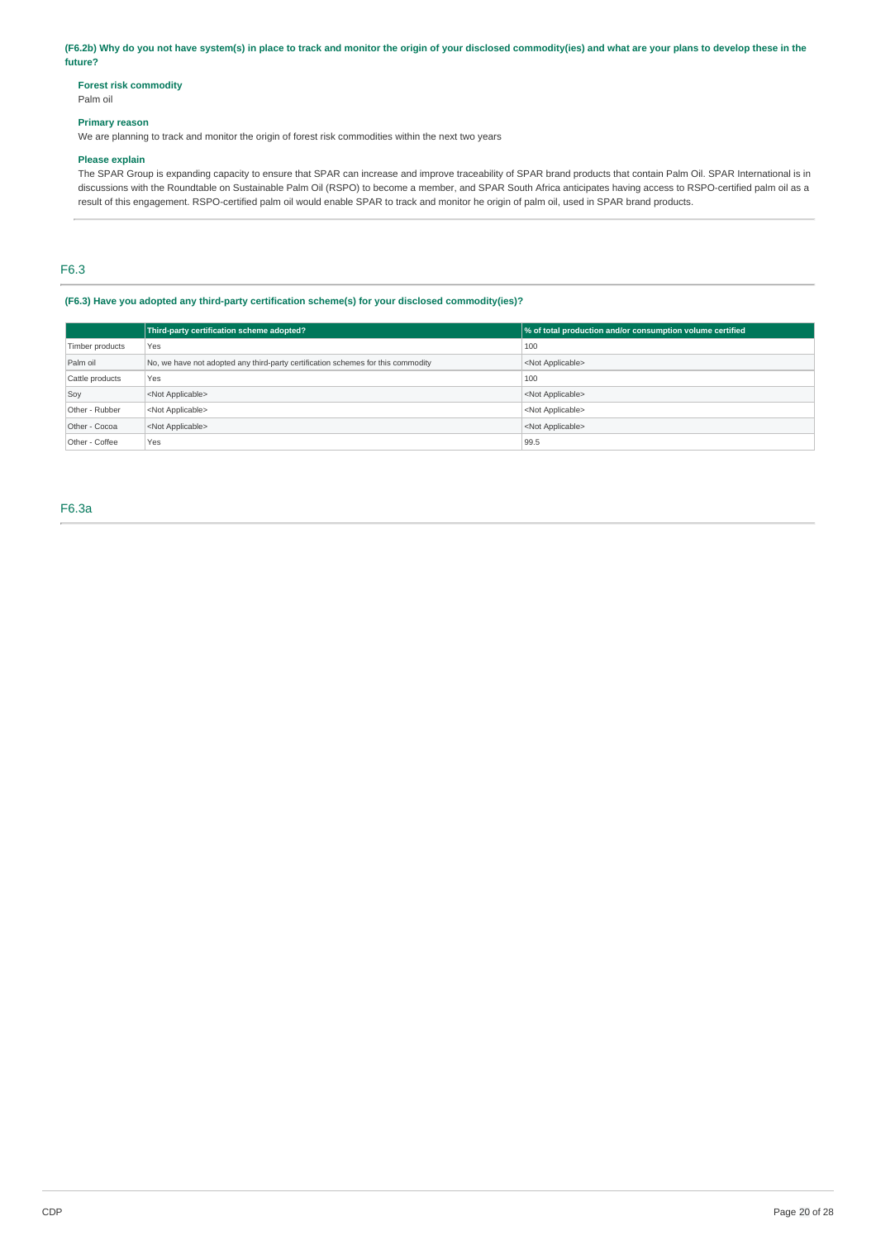(F6.2b) Why do you not have system(s) in place to track and monitor the origin of your disclosed commodity(ies) and what are your plans to develop these in the **future?**

# **Forest risk commodity**

# Palm oil

# **Primary reason**

We are planning to track and monitor the origin of forest risk commodities within the next two years

#### **Please explain**

The SPAR Group is expanding capacity to ensure that SPAR can increase and improve traceability of SPAR brand products that contain Palm Oil. SPAR International is in discussions with the Roundtable on Sustainable Palm Oil (RSPO) to become a member, and SPAR South Africa anticipates having access to RSPO-certified palm oil as a result of this engagement. RSPO-certified palm oil would enable SPAR to track and monitor he origin of palm oil, used in SPAR brand products.

# F6.3

### **(F6.3) Have you adopted any third-party certification scheme(s) for your disclosed commodity(ies)?**

|                 | Third-party certification scheme adopted?                                        | % of total production and/or consumption volume certified |
|-----------------|----------------------------------------------------------------------------------|-----------------------------------------------------------|
| Timber products | Yes                                                                              | 100                                                       |
| Palm oil        | No, we have not adopted any third-party certification schemes for this commodity | <not applicable=""></not>                                 |
| Cattle products | Yes                                                                              | 100                                                       |
| Soy             | <not applicable=""></not>                                                        | <not applicable=""></not>                                 |
| Other - Rubber  | <not applicable=""></not>                                                        | <not applicable=""></not>                                 |
| Other - Cocoa   | <not applicable=""></not>                                                        | <not applicable=""></not>                                 |
| Other - Coffee  | Yes                                                                              | 99.5                                                      |

F6.3a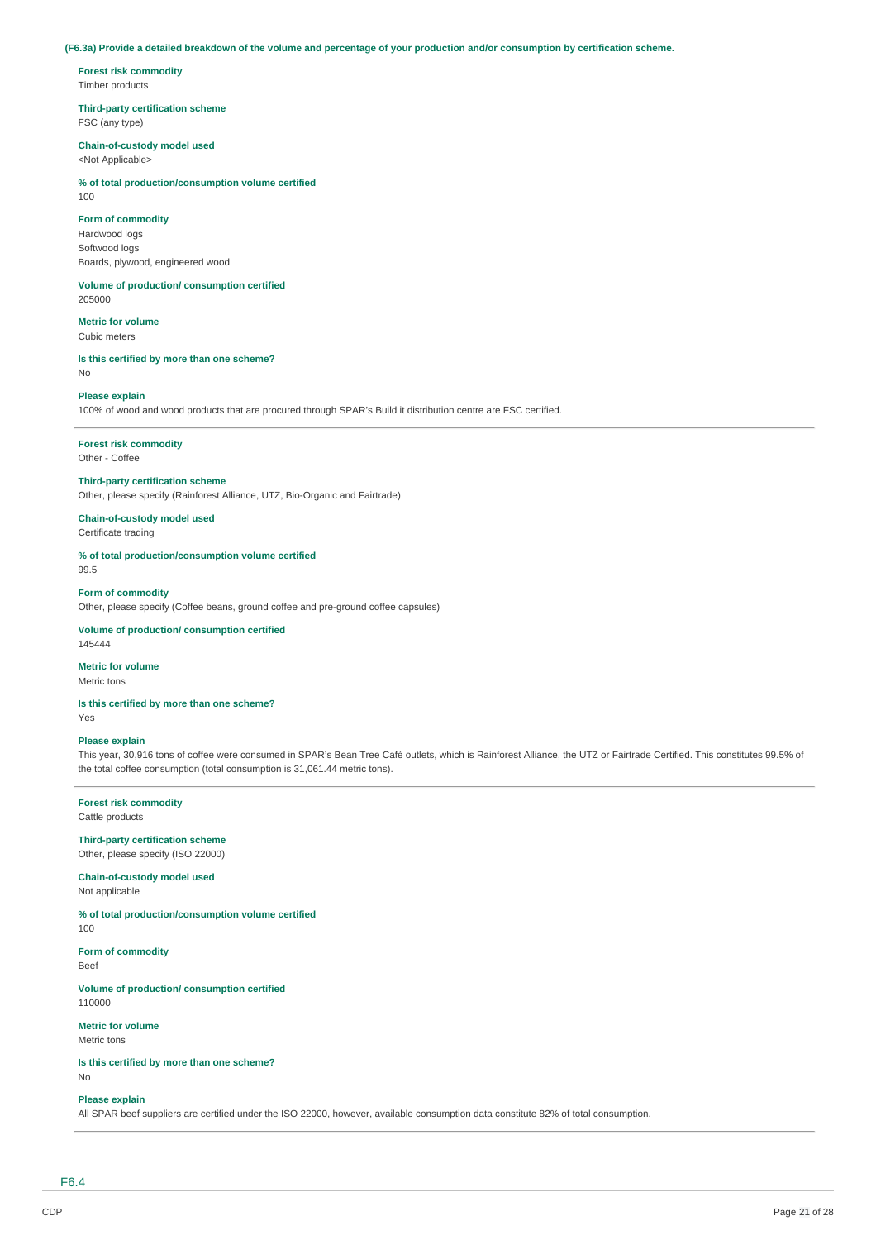### (F6.3a) Provide a detailed breakdown of the volume and percentage of your production and/or consumption by certification scheme.

**Forest risk commodity** Timber products

## **Third-party certification scheme**

FSC (any type)

### **Chain-of-custody model used**

<Not Applicable>

# **% of total production/consumption volume certified**

 $100$ 

# **Form of commodity**

Hardwood logs Softwood logs Boards, plywood, engineered wood

# **Volume of production/ consumption certified**

205000

# **Metric for volume**

Cubic meters

#### **Is this certified by more than one scheme?** No

# **Please explain**

100% of wood and wood products that are procured through SPAR's Build it distribution centre are FSC certified.

# **Forest risk commodity**

Other - Coffee

# **Third-party certification scheme**

Other, please specify (Rainforest Alliance, UTZ, Bio-Organic and Fairtrade)

#### **Chain-of-custody model used** Certificate trading

# **% of total production/consumption volume certified**

99.5

# **Form of commodity**

Other, please specify (Coffee beans, ground coffee and pre-ground coffee capsules)

#### **Volume of production/ consumption certified** 145444

### **Metric for volume**

Metric tons

### **Is this certified by more than one scheme?**

Yes

# **Please explain**

This year, 30,916 tons of coffee were consumed in SPAR's Bean Tree Café outlets, which is Rainforest Alliance, the UTZ or Fairtrade Certified. This constitutes 99.5% of the total coffee consumption (total consumption is 31,061.44 metric tons).

### **Forest risk commodity**

Cattle products

### **Third-party certification scheme** Other, please specify (ISO 22000)

#### **Chain-of-custody model used** Not applicable

**% of total production/consumption volume certified** 100

# **Form of commodity**

Beef

#### **Volume of production/ consumption certified** 110000

**Metric for volume**

Metric tons

### **Is this certified by more than one scheme?**

No

#### **Please explain**

All SPAR beef suppliers are certified under the ISO 22000, however, available consumption data constitute 82% of total consumption.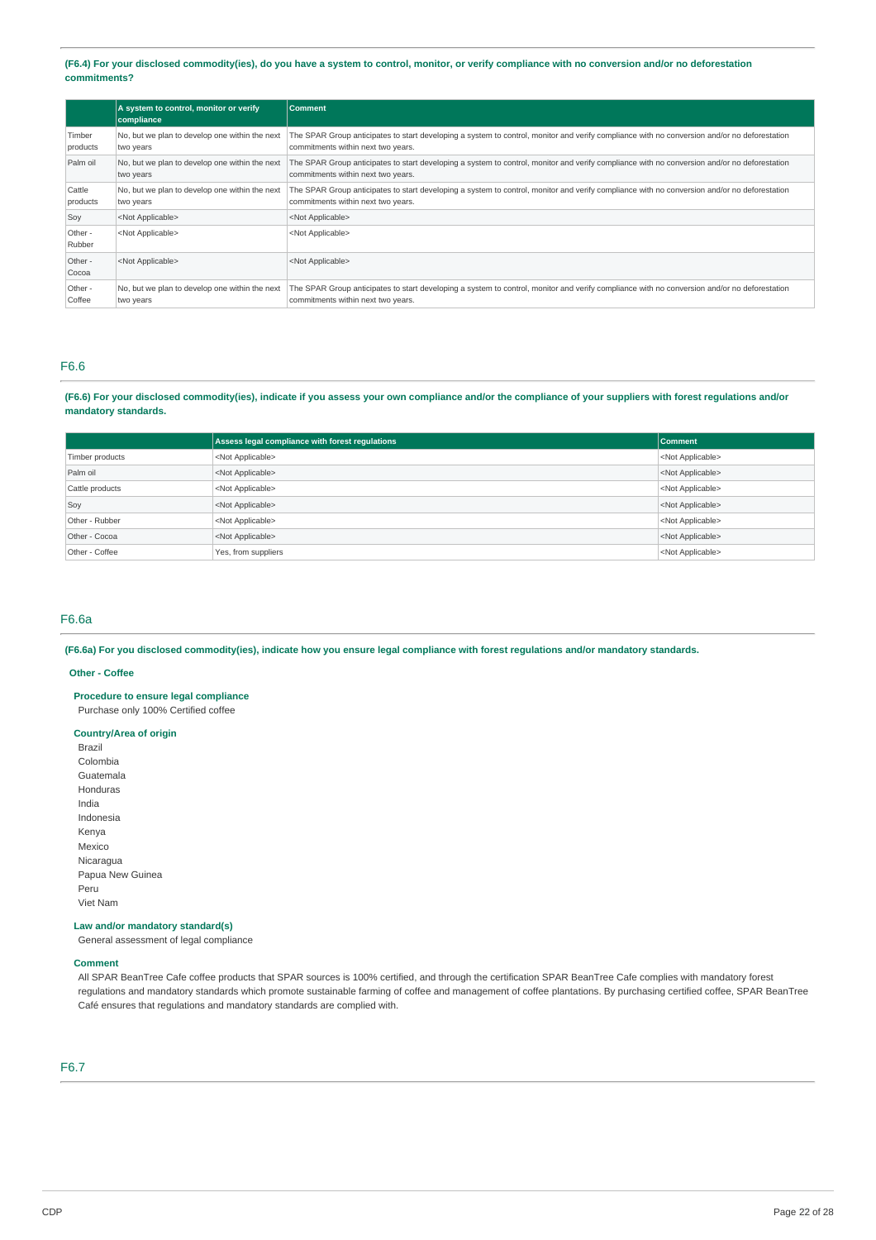(F6.4) For your disclosed commodity(ies), do you have a system to control, monitor, or verify compliance with no conversion and/or no deforestation **commitments?**

|                    | A system to control, monitor or verify<br>compliance        | <b>Comment</b>                                                                                                                                                                     |
|--------------------|-------------------------------------------------------------|------------------------------------------------------------------------------------------------------------------------------------------------------------------------------------|
| Timber<br>products | No, but we plan to develop one within the next<br>two years | The SPAR Group anticipates to start developing a system to control, monitor and verify compliance with no conversion and/or no deforestation<br>commitments within next two years. |
| Palm oil           | No, but we plan to develop one within the next<br>two years | The SPAR Group anticipates to start developing a system to control, monitor and verify compliance with no conversion and/or no deforestation<br>commitments within next two years. |
| Cattle<br>products | No, but we plan to develop one within the next<br>two years | The SPAR Group anticipates to start developing a system to control, monitor and verify compliance with no conversion and/or no deforestation<br>commitments within next two years. |
| Soy                | <not applicable=""></not>                                   | <not applicable=""></not>                                                                                                                                                          |
| Other -<br>Rubber  | <not applicable=""></not>                                   | <not applicable=""></not>                                                                                                                                                          |
| Other -<br>Cocoa   | <not applicable=""></not>                                   | <not applicable=""></not>                                                                                                                                                          |
| Other -<br>Coffee  | No, but we plan to develop one within the next<br>two years | The SPAR Group anticipates to start developing a system to control, monitor and verify compliance with no conversion and/or no deforestation<br>commitments within next two years. |

# F6.6

(F6.6) For your disclosed commodity(ies), indicate if you assess your own compliance and/or the compliance of your suppliers with forest regulations and/or **mandatory standards.**

|                 | Assess legal compliance with forest regulations | <b>Comment</b>            |
|-----------------|-------------------------------------------------|---------------------------|
| Timber products | <not applicable=""></not>                       | <not applicable=""></not> |
| Palm oil        | <not applicable=""></not>                       | <not applicable=""></not> |
| Cattle products | <not applicable=""></not>                       | <not applicable=""></not> |
| Soy             | <not applicable=""></not>                       | <not applicable=""></not> |
| Other - Rubber  | <not applicable=""></not>                       | <not applicable=""></not> |
| Other - Cocoa   | <not applicable=""></not>                       | <not applicable=""></not> |
| Other - Coffee  | Yes, from suppliers                             | <not applicable=""></not> |

### F6.6a

(F6.6a) For you disclosed commodity(ies), indicate how you ensure legal compliance with forest regulations and/or mandatory standards.

### **Other - Coffee**

**Procedure to ensure legal compliance**

Purchase only 100% Certified coffee

# **Country/Area of origin**

Brazil Colombia Guatemala Honduras India Indonesia Kenya Mexico Nicaragua Papua New Guinea Peru Viet Nam

### **Law and/or mandatory standard(s)**

General assessment of legal compliance

### **Comment**

All SPAR BeanTree Cafe coffee products that SPAR sources is 100% certified, and through the certification SPAR BeanTree Cafe complies with mandatory forest regulations and mandatory standards which promote sustainable farming of coffee and management of coffee plantations. By purchasing certified coffee, SPAR BeanTree Café ensures that regulations and mandatory standards are complied with.

### F6.7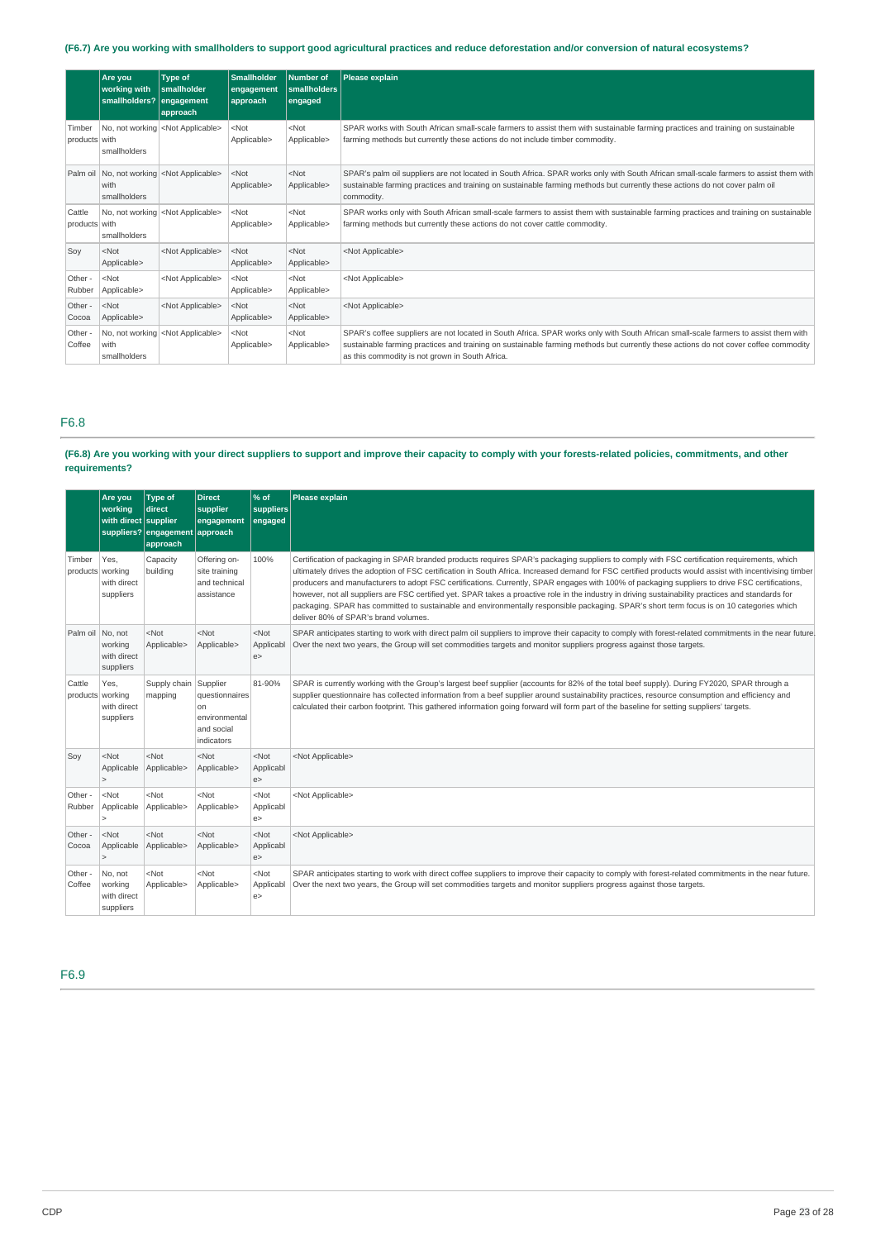# (F6.7) Are you working with smallholders to support good agricultural practices and reduce deforestation and/or conversion of natural ecosystems?

|                         | Are vou<br>working with<br>smallholders? engagement | <b>Type of</b><br><b>Smallholder</b><br>approach   | <b>Smallholder</b><br>engagement<br><b>approach</b> | Number of<br>smallholders<br>engaged | Please explain                                                                                                                                                                                                                                                                                                                |
|-------------------------|-----------------------------------------------------|----------------------------------------------------|-----------------------------------------------------|--------------------------------------|-------------------------------------------------------------------------------------------------------------------------------------------------------------------------------------------------------------------------------------------------------------------------------------------------------------------------------|
| Timber<br>products with | smallholders                                        | No, not working <not applicable=""></not>          | $<$ Not<br>Applicable>                              | $<$ Not<br>Applicable>               | SPAR works with South African small-scale farmers to assist them with sustainable farming practices and training on sustainable<br>farming methods but currently these actions do not include timber commodity.                                                                                                               |
|                         | with<br>smallholders                                | Palm oil No, not working <not applicable=""></not> | $<$ Not<br>Applicable>                              | $<$ Not<br>Applicable>               | SPAR's palm oil suppliers are not located in South Africa. SPAR works only with South African small-scale farmers to assist them with<br>sustainable farming practices and training on sustainable farming methods but currently these actions do not cover palm oil<br>commodity.                                            |
| Cattle<br>products with | smallholders                                        | No, not working <not applicable=""></not>          | $<$ Not<br>Applicable>                              | $<$ Not<br>Applicable>               | SPAR works only with South African small-scale farmers to assist them with sustainable farming practices and training on sustainable<br>farming methods but currently these actions do not cover cattle commodity.                                                                                                            |
| Soy                     | $<$ Not<br>Applicable>                              | <not applicable=""></not>                          | $<$ Not<br>Applicable>                              | $<$ Not<br>Applicable>               | <not applicable=""></not>                                                                                                                                                                                                                                                                                                     |
| Other -<br>Rubber       | $<$ Not<br>Applicable>                              | <not applicable=""></not>                          | $<$ Not<br>Applicable>                              | $<$ Not<br>Applicable>               | <not applicable=""></not>                                                                                                                                                                                                                                                                                                     |
| Other -<br>Cocoa        | $<$ Not<br>Applicable>                              | <not applicable=""></not>                          | $<$ Not<br>Applicable>                              | $<$ Not<br>Applicable>               | <not applicable=""></not>                                                                                                                                                                                                                                                                                                     |
| Other -<br>Coffee       | with<br>smallholders                                | No, not working <not applicable=""></not>          | $<$ Not<br>Applicable>                              | $<$ Not<br>Applicable>               | SPAR's coffee suppliers are not located in South Africa. SPAR works only with South African small-scale farmers to assist them with<br>sustainable farming practices and training on sustainable farming methods but currently these actions do not cover coffee commodity<br>as this commodity is not grown in South Africa. |

# F6.8

### (F6.8) Are you working with your direct suppliers to support and improve their capacity to comply with your forests-related policies, commitments, and other **requirements?**

|                            | Are you<br>working<br>with direct supplier     | <b>Type of</b><br>direct<br>suppliers? engagement approach<br>approach | <b>Direct</b><br>supplier<br>engagement                                       | % of<br>suppliers<br>engaged | Please explain                                                                                                                                                                                                                                                                                                                                                                                                                                                                                                                                                                                                                                                                                                                                                                                        |
|----------------------------|------------------------------------------------|------------------------------------------------------------------------|-------------------------------------------------------------------------------|------------------------------|-------------------------------------------------------------------------------------------------------------------------------------------------------------------------------------------------------------------------------------------------------------------------------------------------------------------------------------------------------------------------------------------------------------------------------------------------------------------------------------------------------------------------------------------------------------------------------------------------------------------------------------------------------------------------------------------------------------------------------------------------------------------------------------------------------|
| Timber<br>products working | Yes.<br>with direct<br>suppliers               | Capacity<br>building                                                   | Offering on-<br>site training<br>and technical<br>assistance                  | 100%                         | Certification of packaging in SPAR branded products requires SPAR's packaging suppliers to comply with FSC certification requirements, which<br>ultimately drives the adoption of FSC certification in South Africa. Increased demand for FSC certified products would assist with incentivising timber<br>producers and manufacturers to adopt FSC certifications. Currently, SPAR engages with 100% of packaging suppliers to drive FSC certifications,<br>however, not all suppliers are FSC certified yet. SPAR takes a proactive role in the industry in driving sustainability practices and standards for<br>packaging. SPAR has committed to sustainable and environmentally responsible packaging. SPAR's short term focus is on 10 categories which<br>deliver 80% of SPAR's brand volumes. |
| Palm oil No. not           | working<br>with direct<br>suppliers            | <not<br>Applicable&gt;</not<br>                                        | Not<br>Applicable>                                                            | $<$ Not<br>Applicabl<br>e    | SPAR anticipates starting to work with direct palm oil suppliers to improve their capacity to comply with forest-related commitments in the near future<br>Over the next two years, the Group will set commodities targets and monitor suppliers progress against those targets.                                                                                                                                                                                                                                                                                                                                                                                                                                                                                                                      |
| Cattle<br>products working | Yes.<br>with direct<br>suppliers               | Supply chain<br>mapping                                                | Supplier<br>questionnaires<br>on<br>environmental<br>and social<br>indicators | 81-90%                       | SPAR is currently working with the Group's largest beef supplier (accounts for 82% of the total beef supply). During FY2020, SPAR through a<br>supplier questionnaire has collected information from a beef supplier around sustainability practices, resource consumption and efficiency and<br>calculated their carbon footprint. This gathered information going forward will form part of the baseline for setting suppliers' targets.                                                                                                                                                                                                                                                                                                                                                            |
| Soy                        | $<$ Not<br>Applicable<br>$\overline{ }$        | <not<br>Applicable&gt;</not<br>                                        | $<$ Not<br>Applicable>                                                        | $<$ Not<br>Applicabl<br>e    | <not applicable=""></not>                                                                                                                                                                                                                                                                                                                                                                                                                                                                                                                                                                                                                                                                                                                                                                             |
| Other -<br>Rubber          | $<$ Not<br>Applicable                          | <not<br>Applicable&gt;</not<br>                                        | $<$ Not<br>Applicable>                                                        | $<$ Not<br>Applicabl<br>e    | <not applicable=""></not>                                                                                                                                                                                                                                                                                                                                                                                                                                                                                                                                                                                                                                                                                                                                                                             |
| Other -<br>Cocoa           | $<$ Not<br>Applicable                          | $<$ Not<br>Applicable>                                                 | $<$ Not<br>Applicable>                                                        | $<$ Not<br>Applicabl<br>e    | <not applicable=""></not>                                                                                                                                                                                                                                                                                                                                                                                                                                                                                                                                                                                                                                                                                                                                                                             |
| Other -<br>Coffee          | No, not<br>working<br>with direct<br>suppliers | <not<br>Applicable&gt;</not<br>                                        | $<$ Not<br>Applicable>                                                        | $<$ Not<br>Applicabl<br>e    | SPAR anticipates starting to work with direct coffee suppliers to improve their capacity to comply with forest-related commitments in the near future.<br>Over the next two years, the Group will set commodities targets and monitor suppliers progress against those targets.                                                                                                                                                                                                                                                                                                                                                                                                                                                                                                                       |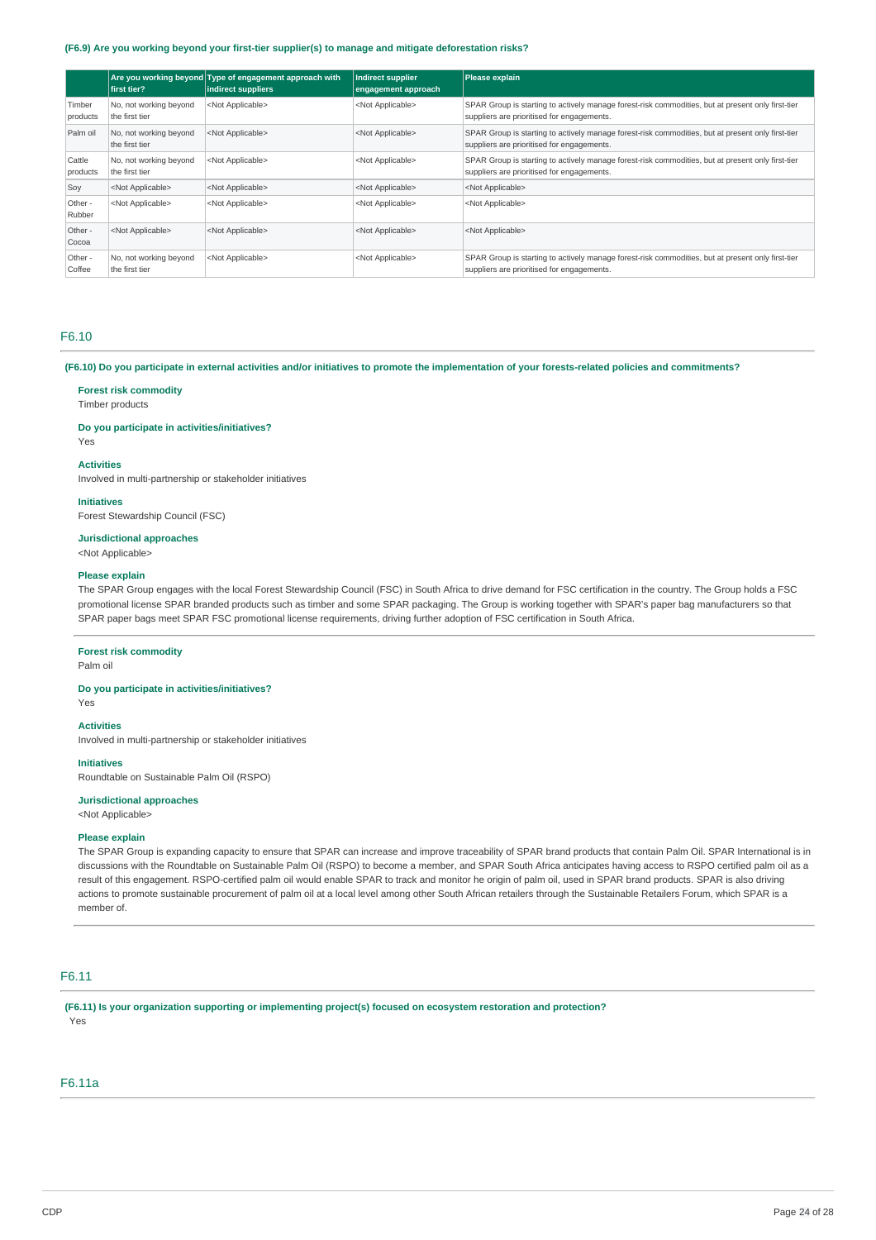#### **(F6.9) Are you working beyond your first-tier supplier(s) to manage and mitigate deforestation risks?**

|                    | first tier?                              | Are you working beyond Type of engagement approach with<br>indirect suppliers | Indirect supplier<br>engagement approach | Please explain                                                                                                                                  |
|--------------------|------------------------------------------|-------------------------------------------------------------------------------|------------------------------------------|-------------------------------------------------------------------------------------------------------------------------------------------------|
| Timber<br>products | No, not working beyond<br>the first tier | <not applicable=""></not>                                                     | <not applicable=""></not>                | SPAR Group is starting to actively manage forest-risk commodities, but at present only first-tier<br>suppliers are prioritised for engagements. |
| Palm oil           | No, not working beyond<br>the first tier | <not applicable=""></not>                                                     | <not applicable=""></not>                | SPAR Group is starting to actively manage forest-risk commodities, but at present only first-tier<br>suppliers are prioritised for engagements. |
| Cattle<br>products | No, not working beyond<br>the first tier | <not applicable=""></not>                                                     | <not applicable=""></not>                | SPAR Group is starting to actively manage forest-risk commodities, but at present only first-tier<br>suppliers are prioritised for engagements. |
| Soy                | <not applicable=""></not>                | <not applicable=""></not>                                                     | <not applicable=""></not>                | <not applicable=""></not>                                                                                                                       |
| Other -<br>Rubber  | <not applicable=""></not>                | <not applicable=""></not>                                                     | <not applicable=""></not>                | <not applicable=""></not>                                                                                                                       |
| Other -<br>Cocoa   | <not applicable=""></not>                | <not applicable=""></not>                                                     | <not applicable=""></not>                | <not applicable=""></not>                                                                                                                       |
| Other -<br>Coffee  | No, not working beyond<br>the first tier | <not applicable=""></not>                                                     | <not applicable=""></not>                | SPAR Group is starting to actively manage forest-risk commodities, but at present only first-tier<br>suppliers are prioritised for engagements. |

### F6.10

(F6.10) Do you participate in external activities and/or initiatives to promote the implementation of your forests-related policies and commitments?

### **Forest risk commodity**

Timber products

# **Do you participate in activities/initiatives?**

Yes

### **Activities**

Involved in multi-partnership or stakeholder initiatives

### **Initiatives**

Forest Stewardship Council (FSC)

### **Jurisdictional approaches**

<Not Applicable>

#### **Please explain**

The SPAR Group engages with the local Forest Stewardship Council (FSC) in South Africa to drive demand for FSC certification in the country. The Group holds a FSC promotional license SPAR branded products such as timber and some SPAR packaging. The Group is working together with SPAR's paper bag manufacturers so that SPAR paper bags meet SPAR FSC promotional license requirements, driving further adoption of FSC certification in South Africa.

### **Forest risk commodity**

Palm oil

### **Do you participate in activities/initiatives?**

Yes

# **Activities**

Involved in multi-partnership or stakeholder initiatives

### **Initiatives**

Roundtable on Sustainable Palm Oil (RSPO)

### **Jurisdictional approaches**

<Not Applicable>

### **Please explain**

The SPAR Group is expanding capacity to ensure that SPAR can increase and improve traceability of SPAR brand products that contain Palm Oil. SPAR International is in discussions with the Roundtable on Sustainable Palm Oil (RSPO) to become a member, and SPAR South Africa anticipates having access to RSPO certified palm oil as a result of this engagement. RSPO-certified palm oil would enable SPAR to track and monitor he origin of palm oil, used in SPAR brand products. SPAR is also driving actions to promote sustainable procurement of palm oil at a local level among other South African retailers through the Sustainable Retailers Forum, which SPAR is a member of.

# F6.11

**(F6.11) Is your organization supporting or implementing project(s) focused on ecosystem restoration and protection?** Yes

# F6.11a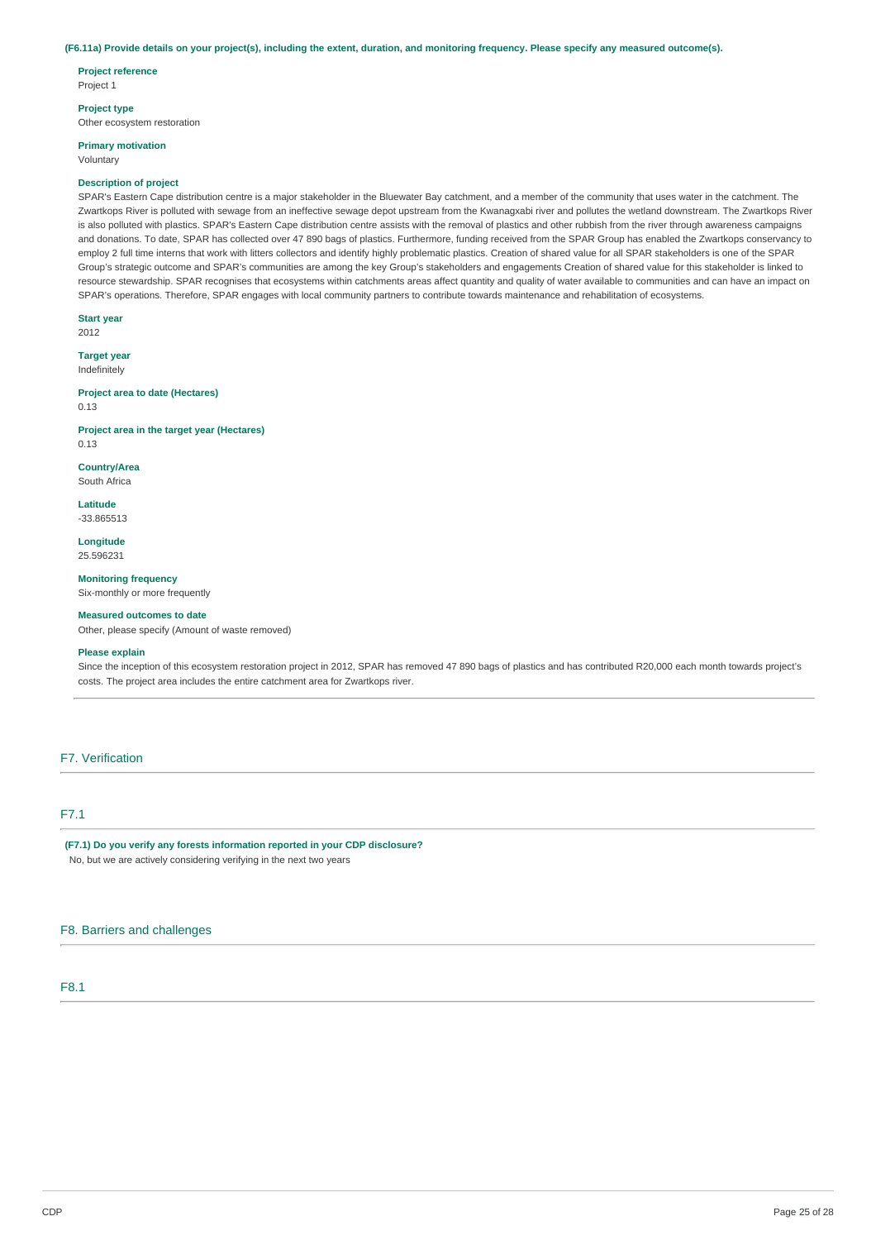#### (F6.11a) Provide details on your project(s), including the extent, duration, and monitoring frequency. Please specify any measured outcome(s).

**Project reference**

Project 1

### **Project type**

Other ecosystem restoration

# **Primary motivation**

Voluntary

### **Description of project**

SPAR's Eastern Cape distribution centre is a major stakeholder in the Bluewater Bay catchment, and a member of the community that uses water in the catchment. The Zwartkops River is polluted with sewage from an ineffective sewage depot upstream from the Kwanagxabi river and pollutes the wetland downstream. The Zwartkops River is also polluted with plastics. SPAR's Eastern Cape distribution centre assists with the removal of plastics and other rubbish from the river through awareness campaigns and donations. To date, SPAR has collected over 47 890 bags of plastics. Furthermore, funding received from the SPAR Group has enabled the Zwartkops conservancy to employ 2 full time interns that work with litters collectors and identify highly problematic plastics. Creation of shared value for all SPAR stakeholders is one of the SPAR Group's strategic outcome and SPAR's communities are among the key Group's stakeholders and engagements Creation of shared value for this stakeholder is linked to resource stewardship. SPAR recognises that ecosystems within catchments areas affect quantity and quality of water available to communities and can have an impact on SPAR's operations. Therefore, SPAR engages with local community partners to contribute towards maintenance and rehabilitation of ecosystems.

**Start year** 2012

**Target year** Indefinitely

**Project area to date (Hectares)** 0.13

**Project area in the target year (Hectares)** 0.13

**Country/Area** South Africa

**Latitude**

-33.865513

**Longitude** 25.596231

**Monitoring frequency** Six-monthly or more frequently

**Measured outcomes to date**

Other, please specify (Amount of waste removed)

### **Please explain**

Since the inception of this ecosystem restoration project in 2012, SPAR has removed 47 890 bags of plastics and has contributed R20,000 each month towards project's costs. The project area includes the entire catchment area for Zwartkops river.

## F7. Verification

# F7.1

**(F7.1) Do you verify any forests information reported in your CDP disclosure?** No, but we are actively considering verifying in the next two years

# F8. Barriers and challenges

F8.1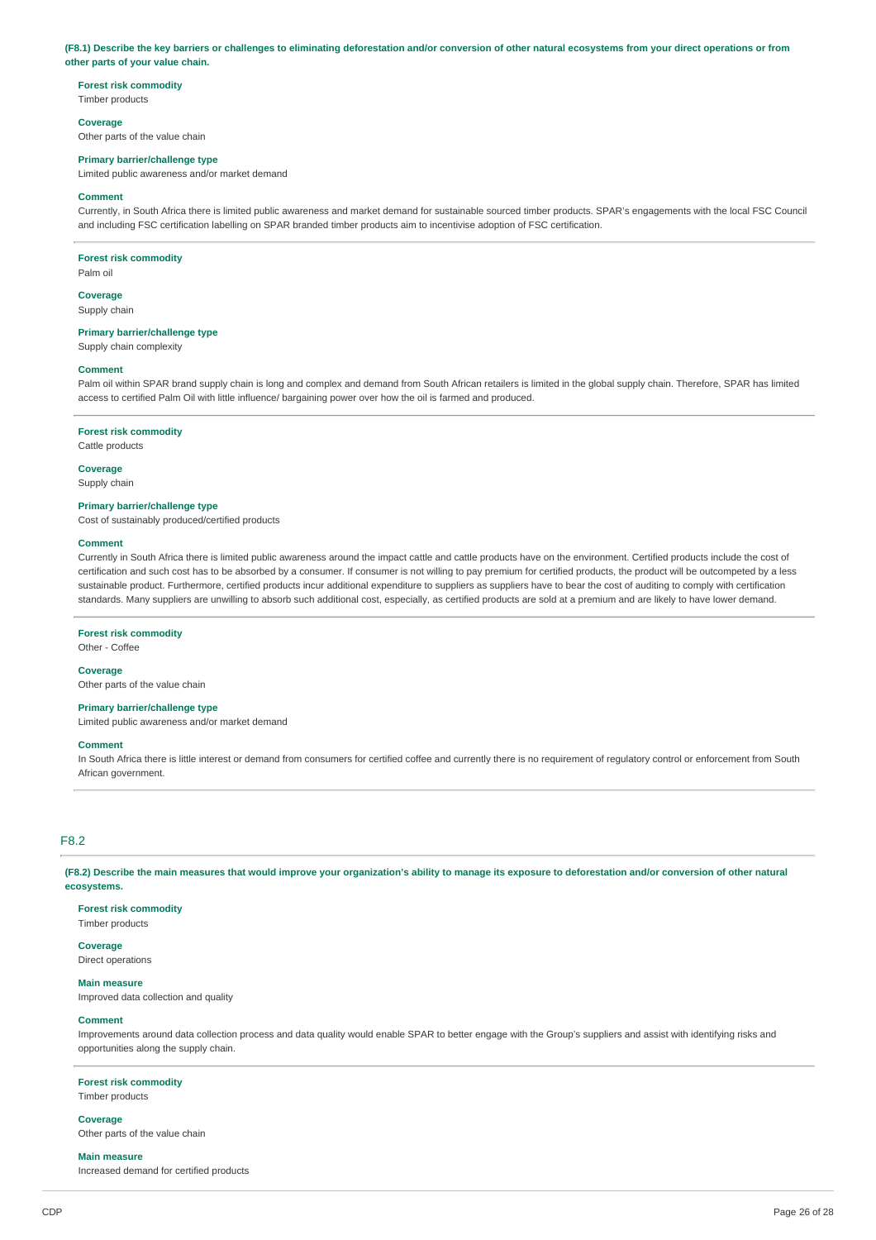(F8.1) Describe the key barriers or challenges to eliminating deforestation and/or conversion of other natural ecosystems from your direct operations or from **other parts of your value chain.**

### **Forest risk commodity**

Timber products

#### **Coverage**

Other parts of the value chain

#### **Primary barrier/challenge type**

Limited public awareness and/or market demand

#### **Comment**

Currently, in South Africa there is limited public awareness and market demand for sustainable sourced timber products. SPAR's engagements with the local FSC Council and including FSC certification labelling on SPAR branded timber products aim to incentivise adoption of FSC certification.

#### **Forest risk commodity**

Palm oil

#### **Coverage**

Supply chain

### **Primary barrier/challenge type**

Supply chain complexity

#### **Comment**

Palm oil within SPAR brand supply chain is long and complex and demand from South African retailers is limited in the global supply chain. Therefore, SPAR has limited access to certified Palm Oil with little influence/ bargaining power over how the oil is farmed and produced.

#### **Forest risk commodity**

Cattle products

#### **Coverage**

Supply chain

### **Primary barrier/challenge type**

Cost of sustainably produced/certified products

#### **Comment**

Currently in South Africa there is limited public awareness around the impact cattle and cattle products have on the environment. Certified products include the cost of certification and such cost has to be absorbed by a consumer. If consumer is not willing to pay premium for certified products, the product will be outcompeted by a less sustainable product. Furthermore, certified products incur additional expenditure to suppliers as suppliers have to bear the cost of auditing to comply with certification standards. Many suppliers are unwilling to absorb such additional cost, especially, as certified products are sold at a premium and are likely to have lower demand.

### **Forest risk commodity**

Other - Coffee

## **Coverage**

Other parts of the value chain

### **Primary barrier/challenge type**

Limited public awareness and/or market demand

### **Comment**

In South Africa there is little interest or demand from consumers for certified coffee and currently there is no requirement of regulatory control or enforcement from South African government.

### F8.2

(F8.2) Describe the main measures that would improve your organization's ability to manage its exposure to deforestation and/or conversion of other natural **ecosystems.**

### **Forest risk commodity**

Timber products

### **Coverage**

Direct operations

#### **Main measure**

Improved data collection and quality

#### **Comment**

Improvements around data collection process and data quality would enable SPAR to better engage with the Group's suppliers and assist with identifying risks and opportunities along the supply chain.

#### **Forest risk commodity**

Timber products

#### **Coverage**

Other parts of the value chain

#### **Main measure**

Increased demand for certified products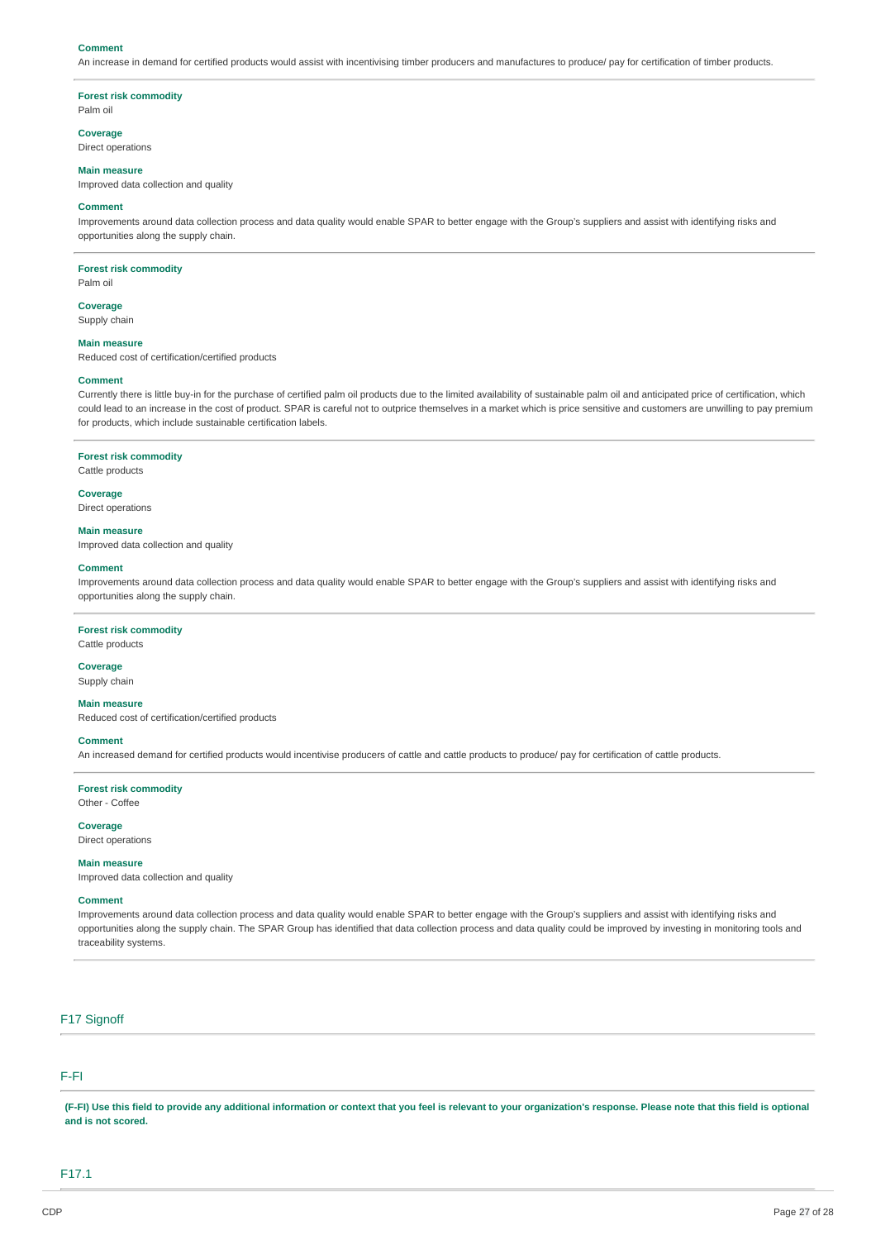#### **Comment**

An increase in demand for certified products would assist with incentivising timber producers and manufactures to produce/ pay for certification of timber products.

#### **Forest risk commodity**

Palm oil

#### **Coverage**

Direct operations

## **Main measure**

Improved data collection and quality

### **Comment**

Improvements around data collection process and data quality would enable SPAR to better engage with the Group's suppliers and assist with identifying risks and opportunities along the supply chain.

#### **Forest risk commodity**

Palm oil

**Coverage** Supply chain

#### **Main measure**

Reduced cost of certification/certified products

#### **Comment**

Currently there is little buy-in for the purchase of certified palm oil products due to the limited availability of sustainable palm oil and anticipated price of certification, which could lead to an increase in the cost of product. SPAR is careful not to outprice themselves in a market which is price sensitive and customers are unwilling to pay premium for products, which include sustainable certification labels.

#### **Forest risk commodity**

Cattle products

### **Coverage**

Direct operations

#### **Main measure**

Improved data collection and quality

#### **Comment**

Improvements around data collection process and data quality would enable SPAR to better engage with the Group's suppliers and assist with identifying risks and opportunities along the supply chain.

#### **Forest risk commodity**

# Cattle products

**Coverage** Supply chain

### **Main measure**

Reduced cost of certification/certified products

#### **Comment**

An increased demand for certified products would incentivise producers of cattle and cattle products to produce/ pay for certification of cattle products.

**Forest risk commodity** Other - Coffee

**Coverage** Direct operations

# **Main measure**

Improved data collection and quality

# **Comment**

Improvements around data collection process and data quality would enable SPAR to better engage with the Group's suppliers and assist with identifying risks and opportunities along the supply chain. The SPAR Group has identified that data collection process and data quality could be improved by investing in monitoring tools and traceability systems.

### F17 Signoff

# F-FI

(F-FI) Use this field to provide any additional information or context that you feel is relevant to your organization's response. Please note that this field is optional **and is not scored.**

F17.1